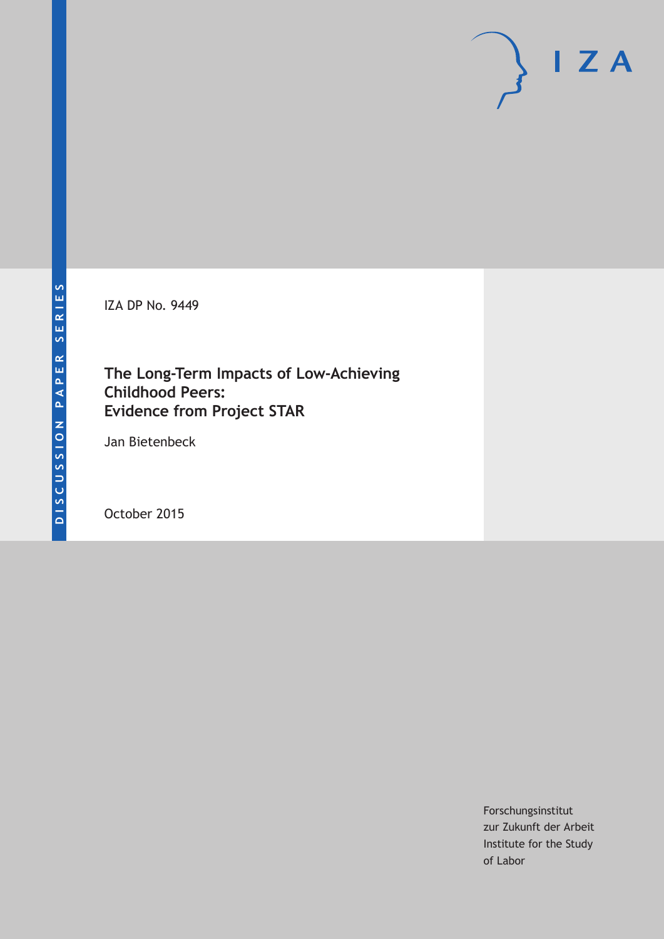IZA DP No. 9449

### **The Long-Term Impacts of Low-Achieving Childhood Peers: Evidence from Project STAR**

Jan Bietenbeck

October 2015

Forschungsinstitut zur Zukunft der Arbeit Institute for the Study of Labor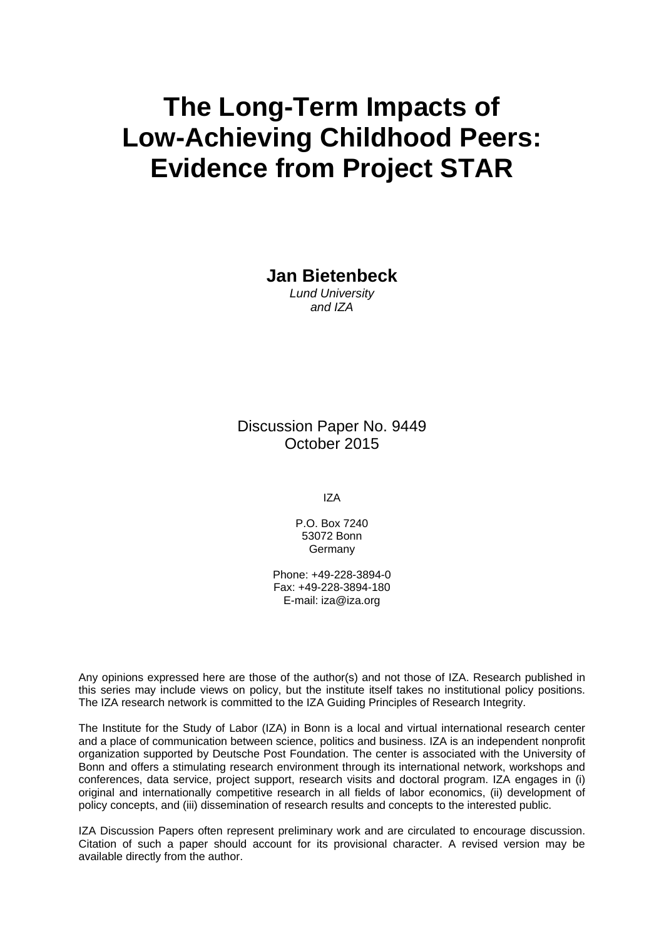# **The Long-Term Impacts of Low-Achieving Childhood Peers: Evidence from Project STAR**

**Jan Bietenbeck** 

*Lund University and IZA* 

Discussion Paper No. 9449 October 2015

IZA

P.O. Box 7240 53072 Bonn Germany

Phone: +49-228-3894-0 Fax: +49-228-3894-180 E-mail: iza@iza.org

Any opinions expressed here are those of the author(s) and not those of IZA. Research published in this series may include views on policy, but the institute itself takes no institutional policy positions. The IZA research network is committed to the IZA Guiding Principles of Research Integrity.

The Institute for the Study of Labor (IZA) in Bonn is a local and virtual international research center and a place of communication between science, politics and business. IZA is an independent nonprofit organization supported by Deutsche Post Foundation. The center is associated with the University of Bonn and offers a stimulating research environment through its international network, workshops and conferences, data service, project support, research visits and doctoral program. IZA engages in (i) original and internationally competitive research in all fields of labor economics, (ii) development of policy concepts, and (iii) dissemination of research results and concepts to the interested public.

IZA Discussion Papers often represent preliminary work and are circulated to encourage discussion. Citation of such a paper should account for its provisional character. A revised version may be available directly from the author.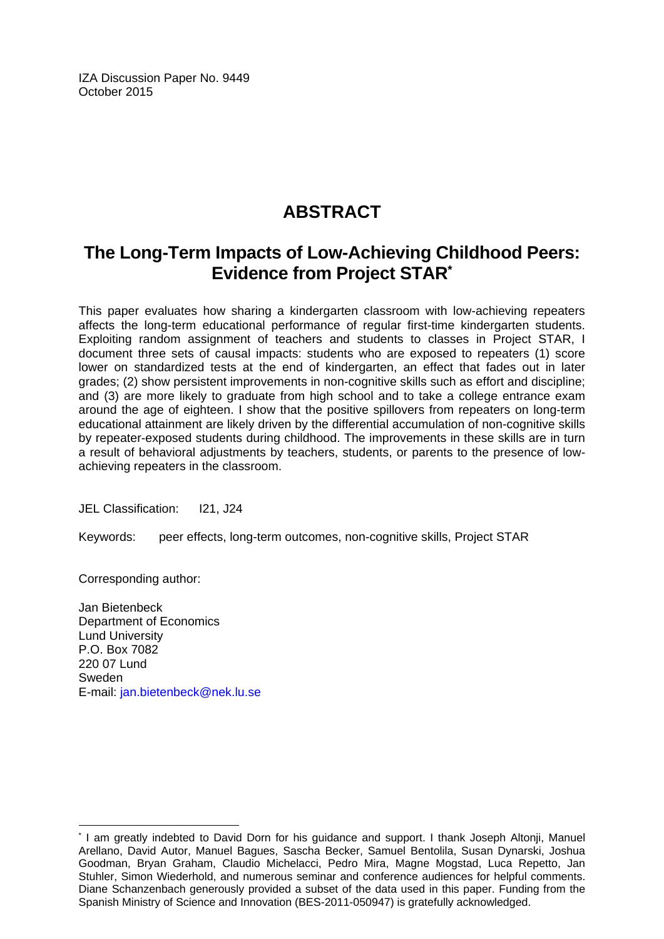IZA Discussion Paper No. 9449 October 2015

# **ABSTRACT**

## **The Long-Term Impacts of Low-Achieving Childhood Peers: Evidence from Project STAR\***

This paper evaluates how sharing a kindergarten classroom with low-achieving repeaters affects the long-term educational performance of regular first-time kindergarten students. Exploiting random assignment of teachers and students to classes in Project STAR, I document three sets of causal impacts: students who are exposed to repeaters (1) score lower on standardized tests at the end of kindergarten, an effect that fades out in later grades; (2) show persistent improvements in non-cognitive skills such as effort and discipline; and (3) are more likely to graduate from high school and to take a college entrance exam around the age of eighteen. I show that the positive spillovers from repeaters on long-term educational attainment are likely driven by the differential accumulation of non-cognitive skills by repeater-exposed students during childhood. The improvements in these skills are in turn a result of behavioral adjustments by teachers, students, or parents to the presence of lowachieving repeaters in the classroom.

JEL Classification: I21, J24

Keywords: peer effects, long-term outcomes, non-cognitive skills, Project STAR

Corresponding author:

 $\overline{a}$ 

Jan Bietenbeck Department of Economics Lund University P.O. Box 7082 220 07 Lund Sweden E-mail: jan.bietenbeck@nek.lu.se

<sup>\*</sup> I am greatly indebted to David Dorn for his guidance and support. I thank Joseph Altonji, Manuel Arellano, David Autor, Manuel Bagues, Sascha Becker, Samuel Bentolila, Susan Dynarski, Joshua Goodman, Bryan Graham, Claudio Michelacci, Pedro Mira, Magne Mogstad, Luca Repetto, Jan Stuhler, Simon Wiederhold, and numerous seminar and conference audiences for helpful comments. Diane Schanzenbach generously provided a subset of the data used in this paper. Funding from the Spanish Ministry of Science and Innovation (BES-2011-050947) is gratefully acknowledged.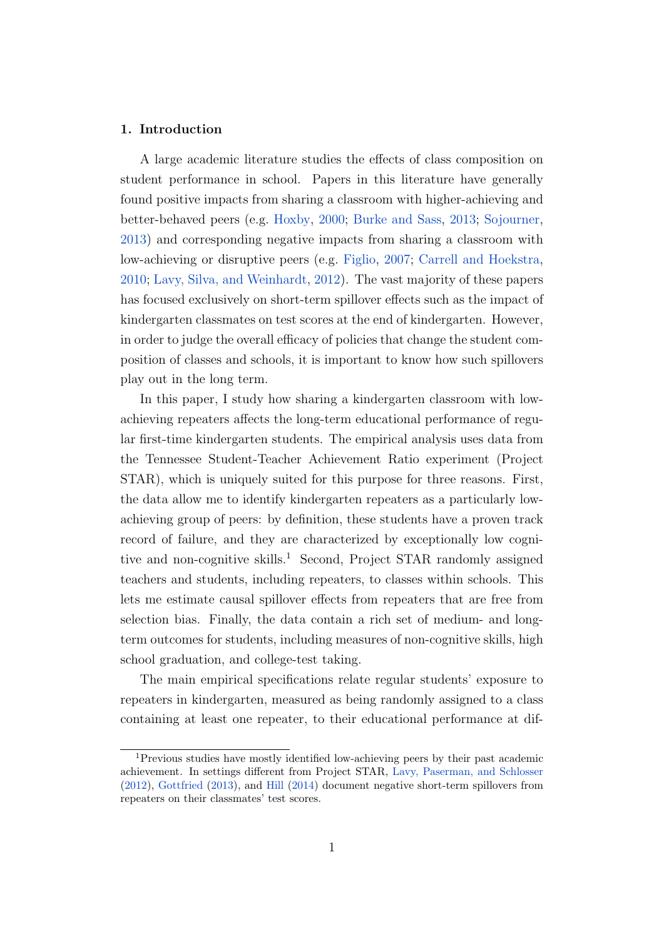#### 1. Introduction

A large academic literature studies the effects of class composition on student performance in school. Papers in this literature have generally found positive impacts from sharing a classroom with higher-achieving and better-behaved peers (e.g. [Hoxby,](#page-25-0) [2000;](#page-25-0) [Burke and Sass,](#page-24-0) [2013;](#page-24-0) [Sojourner,](#page-26-0) [2013\)](#page-26-0) and corresponding negative impacts from sharing a classroom with low-achieving or disruptive peers (e.g. [Figlio,](#page-25-1) [2007;](#page-25-1) [Carrell and Hoekstra,](#page-24-1) [2010;](#page-24-1) [Lavy, Silva, and Weinhardt,](#page-26-1) [2012\)](#page-26-1). The vast majority of these papers has focused exclusively on short-term spillover effects such as the impact of kindergarten classmates on test scores at the end of kindergarten. However, in order to judge the overall efficacy of policies that change the student composition of classes and schools, it is important to know how such spillovers play out in the long term.

In this paper, I study how sharing a kindergarten classroom with lowachieving repeaters affects the long-term educational performance of regular first-time kindergarten students. The empirical analysis uses data from the Tennessee Student-Teacher Achievement Ratio experiment (Project STAR), which is uniquely suited for this purpose for three reasons. First, the data allow me to identify kindergarten repeaters as a particularly lowachieving group of peers: by definition, these students have a proven track record of failure, and they are characterized by exceptionally low cognitive and non-cognitive skills.<sup>1</sup> Second, Project STAR randomly assigned teachers and students, including repeaters, to classes within schools. This lets me estimate causal spillover effects from repeaters that are free from selection bias. Finally, the data contain a rich set of medium- and longterm outcomes for students, including measures of non-cognitive skills, high school graduation, and college-test taking.

The main empirical specifications relate regular students' exposure to repeaters in kindergarten, measured as being randomly assigned to a class containing at least one repeater, to their educational performance at dif-

<sup>1</sup>Previous studies have mostly identified low-achieving peers by their past academic achievement. In settings different from Project STAR, [Lavy, Paserman, and Schlosser](#page-26-2) [\(2012\)](#page-26-2), [Gottfried](#page-25-2) [\(2013\)](#page-25-2), and [Hill](#page-25-3) [\(2014\)](#page-25-3) document negative short-term spillovers from repeaters on their classmates' test scores.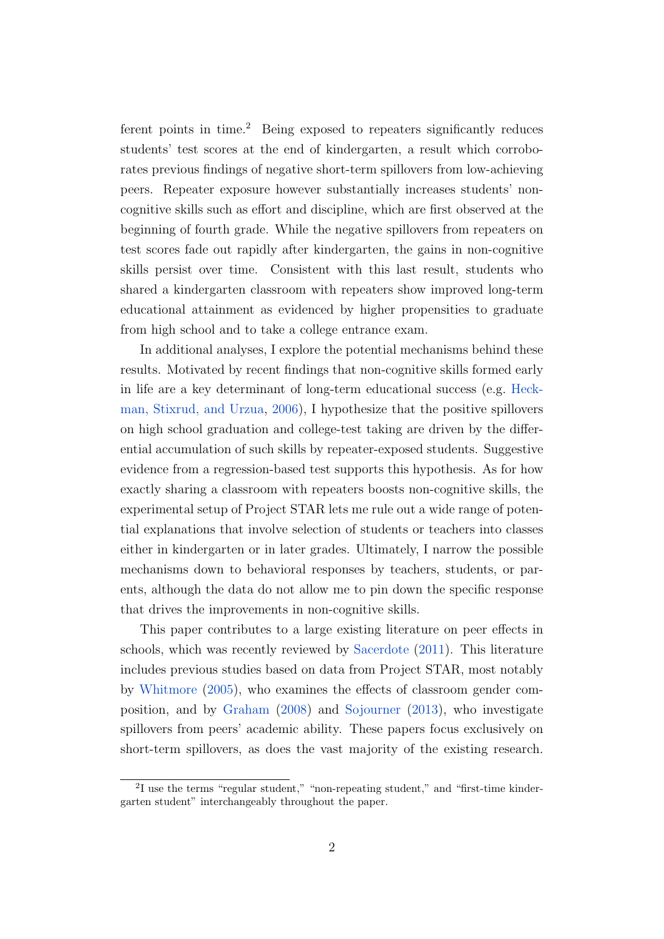ferent points in time.<sup>2</sup> Being exposed to repeaters significantly reduces students' test scores at the end of kindergarten, a result which corroborates previous findings of negative short-term spillovers from low-achieving peers. Repeater exposure however substantially increases students' noncognitive skills such as effort and discipline, which are first observed at the beginning of fourth grade. While the negative spillovers from repeaters on test scores fade out rapidly after kindergarten, the gains in non-cognitive skills persist over time. Consistent with this last result, students who shared a kindergarten classroom with repeaters show improved long-term educational attainment as evidenced by higher propensities to graduate from high school and to take a college entrance exam.

In additional analyses, I explore the potential mechanisms behind these results. Motivated by recent findings that non-cognitive skills formed early in life are a key determinant of long-term educational success (e.g. [Heck](#page-25-4)[man, Stixrud, and Urzua,](#page-25-4) [2006\)](#page-25-4), I hypothesize that the positive spillovers on high school graduation and college-test taking are driven by the differential accumulation of such skills by repeater-exposed students. Suggestive evidence from a regression-based test supports this hypothesis. As for how exactly sharing a classroom with repeaters boosts non-cognitive skills, the experimental setup of Project STAR lets me rule out a wide range of potential explanations that involve selection of students or teachers into classes either in kindergarten or in later grades. Ultimately, I narrow the possible mechanisms down to behavioral responses by teachers, students, or parents, although the data do not allow me to pin down the specific response that drives the improvements in non-cognitive skills.

This paper contributes to a large existing literature on peer effects in schools, which was recently reviewed by [Sacerdote](#page-26-3) [\(2011\)](#page-26-3). This literature includes previous studies based on data from Project STAR, most notably by [Whitmore](#page-26-4) [\(2005\)](#page-26-4), who examines the effects of classroom gender composition, and by [Graham](#page-25-5) [\(2008\)](#page-25-5) and [Sojourner](#page-26-0) [\(2013\)](#page-26-0), who investigate spillovers from peers' academic ability. These papers focus exclusively on short-term spillovers, as does the vast majority of the existing research.

<sup>&</sup>lt;sup>2</sup>I use the terms "regular student," "non-repeating student," and "first-time kindergarten student" interchangeably throughout the paper.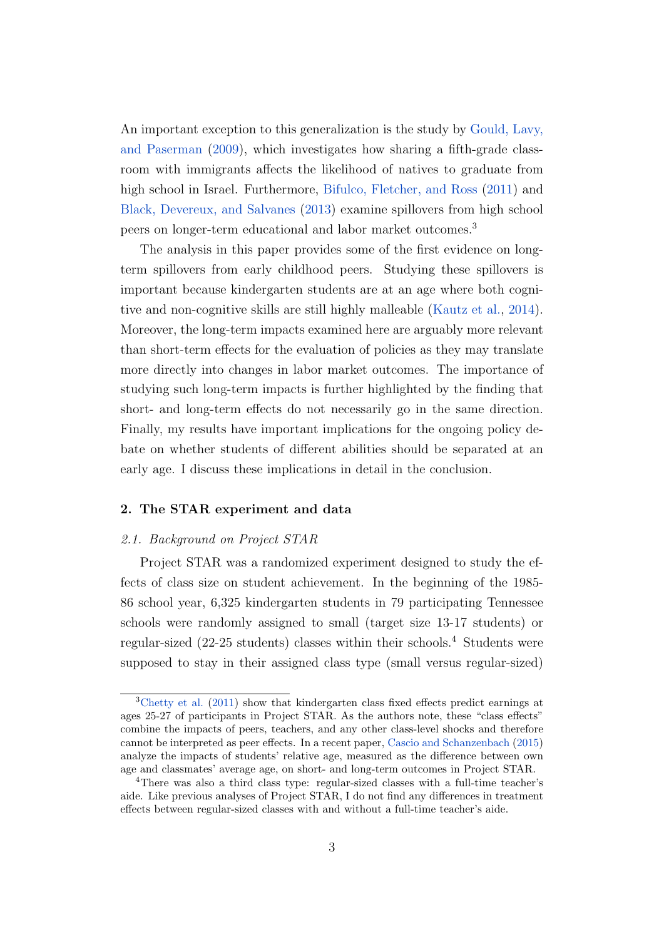An important exception to this generalization is the study by [Gould, Lavy,](#page-25-6) [and Paserman](#page-25-6) [\(2009\)](#page-25-6), which investigates how sharing a fifth-grade classroom with immigrants affects the likelihood of natives to graduate from high school in Israel. Furthermore, [Bifulco, Fletcher, and Ross](#page-24-2) [\(2011\)](#page-24-2) and [Black, Devereux, and Salvanes](#page-24-3) [\(2013\)](#page-24-3) examine spillovers from high school peers on longer-term educational and labor market outcomes.<sup>3</sup>

The analysis in this paper provides some of the first evidence on longterm spillovers from early childhood peers. Studying these spillovers is important because kindergarten students are at an age where both cognitive and non-cognitive skills are still highly malleable [\(Kautz et al.,](#page-25-7) [2014\)](#page-25-7). Moreover, the long-term impacts examined here are arguably more relevant than short-term effects for the evaluation of policies as they may translate more directly into changes in labor market outcomes. The importance of studying such long-term impacts is further highlighted by the finding that short- and long-term effects do not necessarily go in the same direction. Finally, my results have important implications for the ongoing policy debate on whether students of different abilities should be separated at an early age. I discuss these implications in detail in the conclusion.

#### 2. The STAR experiment and data

#### 2.1. Background on Project STAR

Project STAR was a randomized experiment designed to study the effects of class size on student achievement. In the beginning of the 1985- 86 school year, 6,325 kindergarten students in 79 participating Tennessee schools were randomly assigned to small (target size 13-17 students) or regular-sized (22-25 students) classes within their schools.<sup>4</sup> Students were supposed to stay in their assigned class type (small versus regular-sized)

<sup>3</sup>[Chetty et al.](#page-24-4) [\(2011\)](#page-24-4) show that kindergarten class fixed effects predict earnings at ages 25-27 of participants in Project STAR. As the authors note, these "class effects" combine the impacts of peers, teachers, and any other class-level shocks and therefore cannot be interpreted as peer effects. In a recent paper, [Cascio and Schanzenbach](#page-24-5) [\(2015\)](#page-24-5) analyze the impacts of students' relative age, measured as the difference between own age and classmates' average age, on short- and long-term outcomes in Project STAR.

<sup>4</sup>There was also a third class type: regular-sized classes with a full-time teacher's aide. Like previous analyses of Project STAR, I do not find any differences in treatment effects between regular-sized classes with and without a full-time teacher's aide.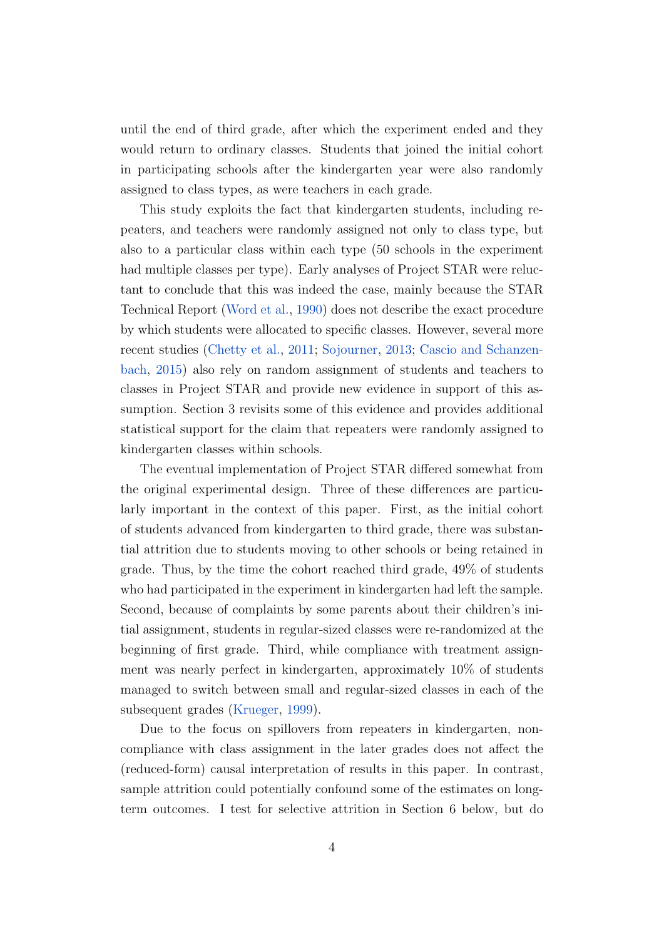until the end of third grade, after which the experiment ended and they would return to ordinary classes. Students that joined the initial cohort in participating schools after the kindergarten year were also randomly assigned to class types, as were teachers in each grade.

This study exploits the fact that kindergarten students, including repeaters, and teachers were randomly assigned not only to class type, but also to a particular class within each type (50 schools in the experiment had multiple classes per type). Early analyses of Project STAR were reluctant to conclude that this was indeed the case, mainly because the STAR Technical Report [\(Word et al.,](#page-26-5) [1990\)](#page-26-5) does not describe the exact procedure by which students were allocated to specific classes. However, several more recent studies [\(Chetty et al.,](#page-24-4) [2011;](#page-24-4) [Sojourner,](#page-26-0) [2013;](#page-26-0) [Cascio and Schanzen](#page-24-5)[bach,](#page-24-5) [2015\)](#page-24-5) also rely on random assignment of students and teachers to classes in Project STAR and provide new evidence in support of this assumption. Section 3 revisits some of this evidence and provides additional statistical support for the claim that repeaters were randomly assigned to kindergarten classes within schools.

The eventual implementation of Project STAR differed somewhat from the original experimental design. Three of these differences are particularly important in the context of this paper. First, as the initial cohort of students advanced from kindergarten to third grade, there was substantial attrition due to students moving to other schools or being retained in grade. Thus, by the time the cohort reached third grade, 49% of students who had participated in the experiment in kindergarten had left the sample. Second, because of complaints by some parents about their children's initial assignment, students in regular-sized classes were re-randomized at the beginning of first grade. Third, while compliance with treatment assignment was nearly perfect in kindergarten, approximately 10% of students managed to switch between small and regular-sized classes in each of the subsequent grades [\(Krueger,](#page-25-8) [1999\)](#page-25-8).

Due to the focus on spillovers from repeaters in kindergarten, noncompliance with class assignment in the later grades does not affect the (reduced-form) causal interpretation of results in this paper. In contrast, sample attrition could potentially confound some of the estimates on longterm outcomes. I test for selective attrition in Section 6 below, but do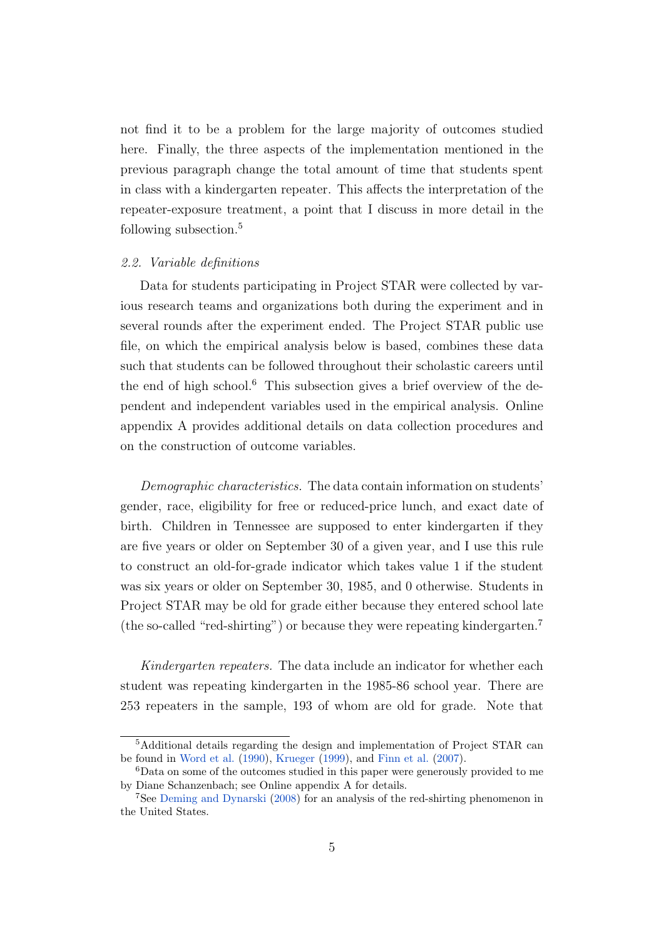not find it to be a problem for the large majority of outcomes studied here. Finally, the three aspects of the implementation mentioned in the previous paragraph change the total amount of time that students spent in class with a kindergarten repeater. This affects the interpretation of the repeater-exposure treatment, a point that I discuss in more detail in the following subsection.<sup>5</sup>

#### 2.2. Variable definitions

Data for students participating in Project STAR were collected by various research teams and organizations both during the experiment and in several rounds after the experiment ended. The Project STAR public use file, on which the empirical analysis below is based, combines these data such that students can be followed throughout their scholastic careers until the end of high school.<sup>6</sup> This subsection gives a brief overview of the dependent and independent variables used in the empirical analysis. Online appendix A provides additional details on data collection procedures and on the construction of outcome variables.

Demographic characteristics. The data contain information on students' gender, race, eligibility for free or reduced-price lunch, and exact date of birth. Children in Tennessee are supposed to enter kindergarten if they are five years or older on September 30 of a given year, and I use this rule to construct an old-for-grade indicator which takes value 1 if the student was six years or older on September 30, 1985, and 0 otherwise. Students in Project STAR may be old for grade either because they entered school late (the so-called "red-shirting") or because they were repeating kindergarten.<sup>7</sup>

Kindergarten repeaters. The data include an indicator for whether each student was repeating kindergarten in the 1985-86 school year. There are 253 repeaters in the sample, 193 of whom are old for grade. Note that

<sup>5</sup>Additional details regarding the design and implementation of Project STAR can be found in [Word et al.](#page-26-5) [\(1990\)](#page-26-5), [Krueger](#page-25-8) [\(1999\)](#page-25-8), and [Finn et al.](#page-25-9) [\(2007\)](#page-25-9).

<sup>6</sup>Data on some of the outcomes studied in this paper were generously provided to me by Diane Schanzenbach; see Online appendix A for details.

<sup>7</sup>See [Deming and Dynarski](#page-24-6) [\(2008\)](#page-24-6) for an analysis of the red-shirting phenomenon in the United States.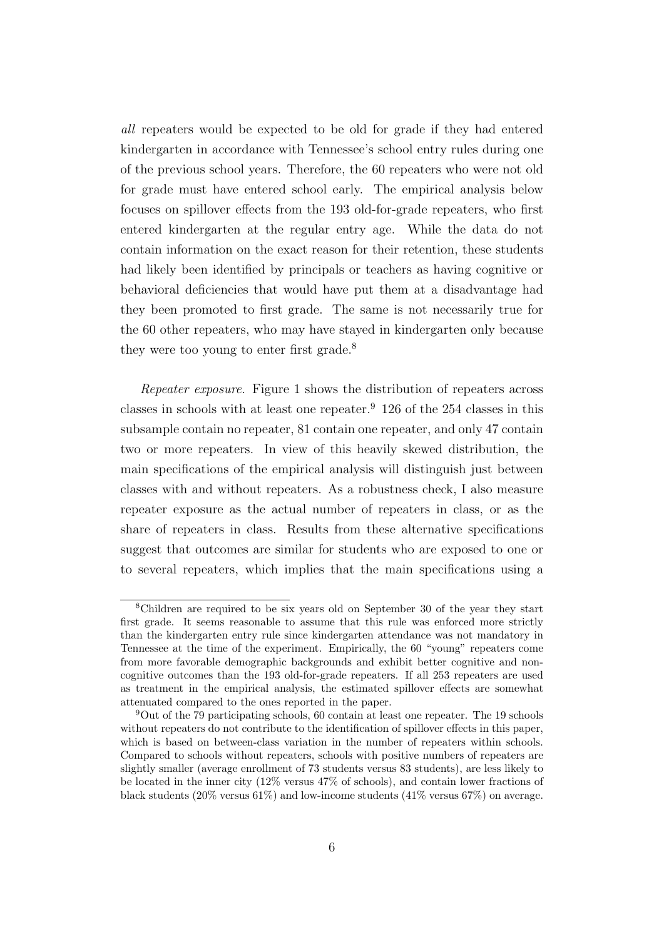all repeaters would be expected to be old for grade if they had entered kindergarten in accordance with Tennessee's school entry rules during one of the previous school years. Therefore, the 60 repeaters who were not old for grade must have entered school early. The empirical analysis below focuses on spillover effects from the 193 old-for-grade repeaters, who first entered kindergarten at the regular entry age. While the data do not contain information on the exact reason for their retention, these students had likely been identified by principals or teachers as having cognitive or behavioral deficiencies that would have put them at a disadvantage had they been promoted to first grade. The same is not necessarily true for the 60 other repeaters, who may have stayed in kindergarten only because they were too young to enter first grade.<sup>8</sup>

Repeater exposure. Figure 1 shows the distribution of repeaters across classes in schools with at least one repeater. $9\,126$  of the 254 classes in this subsample contain no repeater, 81 contain one repeater, and only 47 contain two or more repeaters. In view of this heavily skewed distribution, the main specifications of the empirical analysis will distinguish just between classes with and without repeaters. As a robustness check, I also measure repeater exposure as the actual number of repeaters in class, or as the share of repeaters in class. Results from these alternative specifications suggest that outcomes are similar for students who are exposed to one or to several repeaters, which implies that the main specifications using a

<sup>8</sup>Children are required to be six years old on September 30 of the year they start first grade. It seems reasonable to assume that this rule was enforced more strictly than the kindergarten entry rule since kindergarten attendance was not mandatory in Tennessee at the time of the experiment. Empirically, the 60 "young" repeaters come from more favorable demographic backgrounds and exhibit better cognitive and noncognitive outcomes than the 193 old-for-grade repeaters. If all 253 repeaters are used as treatment in the empirical analysis, the estimated spillover effects are somewhat attenuated compared to the ones reported in the paper.

<sup>9</sup>Out of the 79 participating schools, 60 contain at least one repeater. The 19 schools without repeaters do not contribute to the identification of spillover effects in this paper, which is based on between-class variation in the number of repeaters within schools. Compared to schools without repeaters, schools with positive numbers of repeaters are slightly smaller (average enrollment of 73 students versus 83 students), are less likely to be located in the inner city (12% versus 47% of schools), and contain lower fractions of black students (20% versus 61%) and low-income students (41% versus 67%) on average.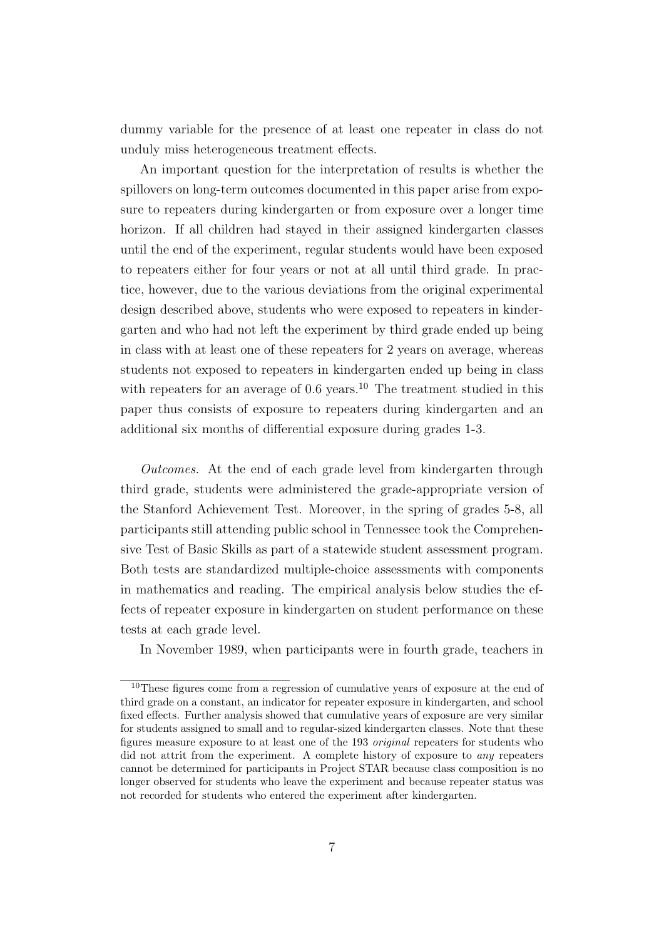dummy variable for the presence of at least one repeater in class do not unduly miss heterogeneous treatment effects.

An important question for the interpretation of results is whether the spillovers on long-term outcomes documented in this paper arise from exposure to repeaters during kindergarten or from exposure over a longer time horizon. If all children had stayed in their assigned kindergarten classes until the end of the experiment, regular students would have been exposed to repeaters either for four years or not at all until third grade. In practice, however, due to the various deviations from the original experimental design described above, students who were exposed to repeaters in kindergarten and who had not left the experiment by third grade ended up being in class with at least one of these repeaters for 2 years on average, whereas students not exposed to repeaters in kindergarten ended up being in class with repeaters for an average of  $0.6$  years.<sup>10</sup> The treatment studied in this paper thus consists of exposure to repeaters during kindergarten and an additional six months of differential exposure during grades 1-3.

Outcomes. At the end of each grade level from kindergarten through third grade, students were administered the grade-appropriate version of the Stanford Achievement Test. Moreover, in the spring of grades 5-8, all participants still attending public school in Tennessee took the Comprehensive Test of Basic Skills as part of a statewide student assessment program. Both tests are standardized multiple-choice assessments with components in mathematics and reading. The empirical analysis below studies the effects of repeater exposure in kindergarten on student performance on these tests at each grade level.

In November 1989, when participants were in fourth grade, teachers in

<sup>10</sup>These figures come from a regression of cumulative years of exposure at the end of third grade on a constant, an indicator for repeater exposure in kindergarten, and school fixed effects. Further analysis showed that cumulative years of exposure are very similar for students assigned to small and to regular-sized kindergarten classes. Note that these figures measure exposure to at least one of the 193 original repeaters for students who did not attrit from the experiment. A complete history of exposure to any repeaters cannot be determined for participants in Project STAR because class composition is no longer observed for students who leave the experiment and because repeater status was not recorded for students who entered the experiment after kindergarten.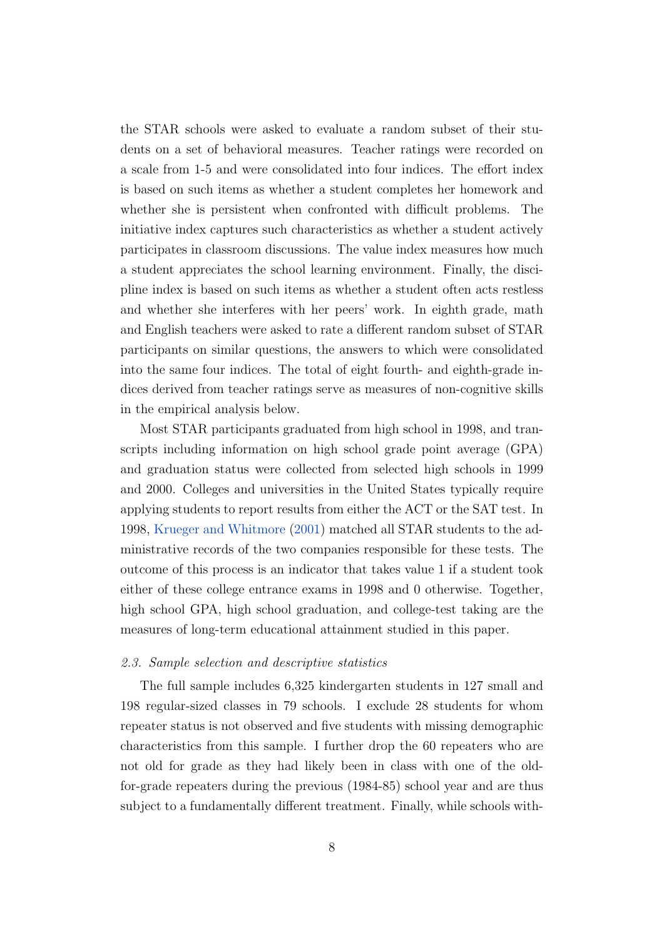the STAR schools were asked to evaluate a random subset of their students on a set of behavioral measures. Teacher ratings were recorded on a scale from 1-5 and were consolidated into four indices. The effort index is based on such items as whether a student completes her homework and whether she is persistent when confronted with difficult problems. The initiative index captures such characteristics as whether a student actively participates in classroom discussions. The value index measures how much a student appreciates the school learning environment. Finally, the discipline index is based on such items as whether a student often acts restless and whether she interferes with her peers' work. In eighth grade, math and English teachers were asked to rate a different random subset of STAR participants on similar questions, the answers to which were consolidated into the same four indices. The total of eight fourth- and eighth-grade indices derived from teacher ratings serve as measures of non-cognitive skills in the empirical analysis below.

Most STAR participants graduated from high school in 1998, and transcripts including information on high school grade point average (GPA) and graduation status were collected from selected high schools in 1999 and 2000. Colleges and universities in the United States typically require applying students to report results from either the ACT or the SAT test. In 1998, [Krueger and Whitmore](#page-26-6) [\(2001\)](#page-26-6) matched all STAR students to the administrative records of the two companies responsible for these tests. The outcome of this process is an indicator that takes value 1 if a student took either of these college entrance exams in 1998 and 0 otherwise. Together, high school GPA, high school graduation, and college-test taking are the measures of long-term educational attainment studied in this paper.

#### 2.3. Sample selection and descriptive statistics

The full sample includes 6,325 kindergarten students in 127 small and 198 regular-sized classes in 79 schools. I exclude 28 students for whom repeater status is not observed and five students with missing demographic characteristics from this sample. I further drop the 60 repeaters who are not old for grade as they had likely been in class with one of the oldfor-grade repeaters during the previous (1984-85) school year and are thus subject to a fundamentally different treatment. Finally, while schools with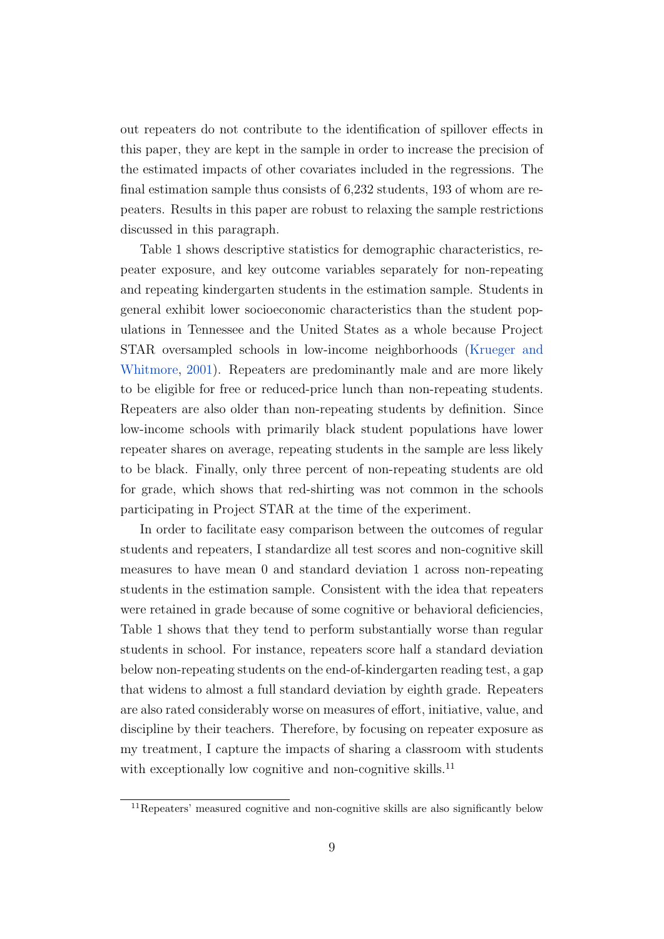out repeaters do not contribute to the identification of spillover effects in this paper, they are kept in the sample in order to increase the precision of the estimated impacts of other covariates included in the regressions. The final estimation sample thus consists of 6,232 students, 193 of whom are repeaters. Results in this paper are robust to relaxing the sample restrictions discussed in this paragraph.

Table 1 shows descriptive statistics for demographic characteristics, repeater exposure, and key outcome variables separately for non-repeating and repeating kindergarten students in the estimation sample. Students in general exhibit lower socioeconomic characteristics than the student populations in Tennessee and the United States as a whole because Project STAR oversampled schools in low-income neighborhoods [\(Krueger and](#page-26-6) [Whitmore,](#page-26-6) [2001\)](#page-26-6). Repeaters are predominantly male and are more likely to be eligible for free or reduced-price lunch than non-repeating students. Repeaters are also older than non-repeating students by definition. Since low-income schools with primarily black student populations have lower repeater shares on average, repeating students in the sample are less likely to be black. Finally, only three percent of non-repeating students are old for grade, which shows that red-shirting was not common in the schools participating in Project STAR at the time of the experiment.

In order to facilitate easy comparison between the outcomes of regular students and repeaters, I standardize all test scores and non-cognitive skill measures to have mean 0 and standard deviation 1 across non-repeating students in the estimation sample. Consistent with the idea that repeaters were retained in grade because of some cognitive or behavioral deficiencies, Table 1 shows that they tend to perform substantially worse than regular students in school. For instance, repeaters score half a standard deviation below non-repeating students on the end-of-kindergarten reading test, a gap that widens to almost a full standard deviation by eighth grade. Repeaters are also rated considerably worse on measures of effort, initiative, value, and discipline by their teachers. Therefore, by focusing on repeater exposure as my treatment, I capture the impacts of sharing a classroom with students with exceptionally low cognitive and non-cognitive skills.<sup>11</sup>

<sup>11</sup>Repeaters' measured cognitive and non-cognitive skills are also significantly below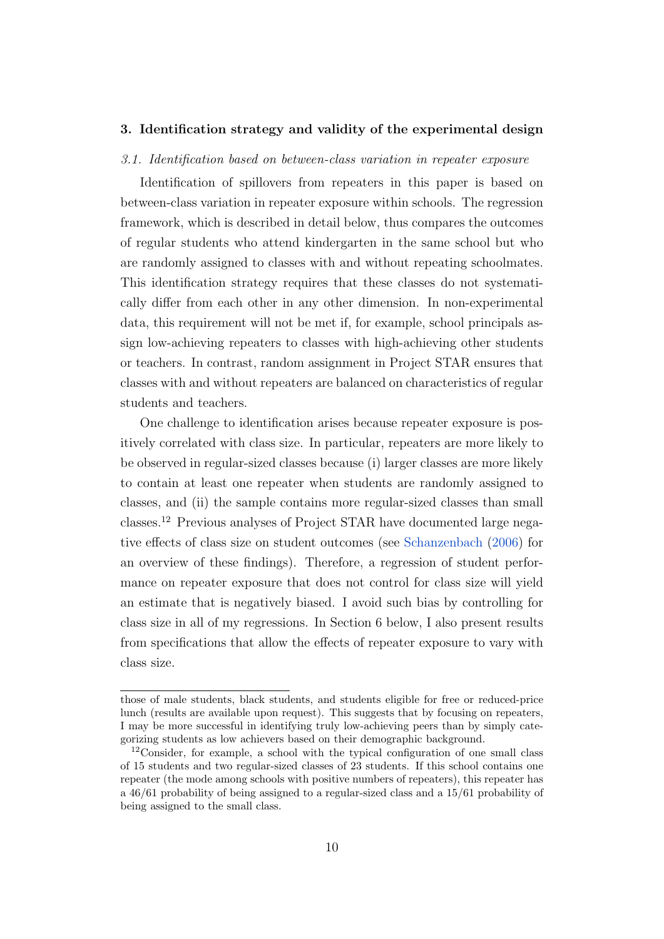#### 3. Identification strategy and validity of the experimental design

#### 3.1. Identification based on between-class variation in repeater exposure

Identification of spillovers from repeaters in this paper is based on between-class variation in repeater exposure within schools. The regression framework, which is described in detail below, thus compares the outcomes of regular students who attend kindergarten in the same school but who are randomly assigned to classes with and without repeating schoolmates. This identification strategy requires that these classes do not systematically differ from each other in any other dimension. In non-experimental data, this requirement will not be met if, for example, school principals assign low-achieving repeaters to classes with high-achieving other students or teachers. In contrast, random assignment in Project STAR ensures that classes with and without repeaters are balanced on characteristics of regular students and teachers.

One challenge to identification arises because repeater exposure is positively correlated with class size. In particular, repeaters are more likely to be observed in regular-sized classes because (i) larger classes are more likely to contain at least one repeater when students are randomly assigned to classes, and (ii) the sample contains more regular-sized classes than small classes.<sup>12</sup> Previous analyses of Project STAR have documented large negative effects of class size on student outcomes (see [Schanzenbach](#page-26-7) [\(2006\)](#page-26-7) for an overview of these findings). Therefore, a regression of student performance on repeater exposure that does not control for class size will yield an estimate that is negatively biased. I avoid such bias by controlling for class size in all of my regressions. In Section 6 below, I also present results from specifications that allow the effects of repeater exposure to vary with class size.

those of male students, black students, and students eligible for free or reduced-price lunch (results are available upon request). This suggests that by focusing on repeaters, I may be more successful in identifying truly low-achieving peers than by simply categorizing students as low achievers based on their demographic background.

<sup>&</sup>lt;sup>12</sup>Consider, for example, a school with the typical configuration of one small class of 15 students and two regular-sized classes of 23 students. If this school contains one repeater (the mode among schools with positive numbers of repeaters), this repeater has a 46/61 probability of being assigned to a regular-sized class and a 15/61 probability of being assigned to the small class.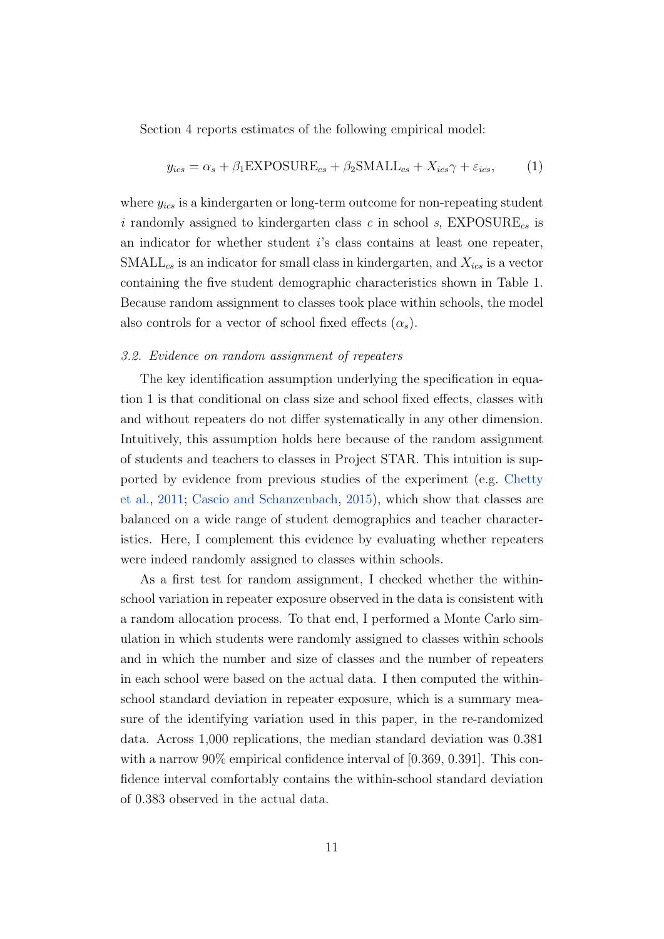Section 4 reports estimates of the following empirical model:

$$
y_{ics} = \alpha_s + \beta_1 \text{EXPOSURE}_{cs} + \beta_2 \text{SMALL}_{cs} + X_{ics} \gamma + \varepsilon_{ics},\tag{1}
$$

where  $y_{ics}$  is a kindergarten or long-term outcome for non-repeating student i randomly assigned to kindergarten class c in school s,  $\text{EXPOSURE}_{cs}$  is an indicator for whether student i's class contains at least one repeater,  $SMLL_{cs}$  is an indicator for small class in kindergarten, and  $X_{ics}$  is a vector containing the five student demographic characteristics shown in Table 1. Because random assignment to classes took place within schools, the model also controls for a vector of school fixed effects  $(\alpha_s)$ .

#### 3.2. Evidence on random assignment of repeaters

The key identification assumption underlying the specification in equation 1 is that conditional on class size and school fixed effects, classes with and without repeaters do not differ systematically in any other dimension. Intuitively, this assumption holds here because of the random assignment of students and teachers to classes in Project STAR. This intuition is supported by evidence from previous studies of the experiment (e.g. [Chetty](#page-24-4) [et al.,](#page-24-4) [2011;](#page-24-4) [Cascio and Schanzenbach,](#page-24-5) [2015\)](#page-24-5), which show that classes are balanced on a wide range of student demographics and teacher characteristics. Here, I complement this evidence by evaluating whether repeaters were indeed randomly assigned to classes within schools.

As a first test for random assignment, I checked whether the withinschool variation in repeater exposure observed in the data is consistent with a random allocation process. To that end, I performed a Monte Carlo simulation in which students were randomly assigned to classes within schools and in which the number and size of classes and the number of repeaters in each school were based on the actual data. I then computed the withinschool standard deviation in repeater exposure, which is a summary measure of the identifying variation used in this paper, in the re-randomized data. Across 1,000 replications, the median standard deviation was 0.381 with a narrow  $90\%$  empirical confidence interval of [0.369, 0.391]. This confidence interval comfortably contains the within-school standard deviation of 0.383 observed in the actual data.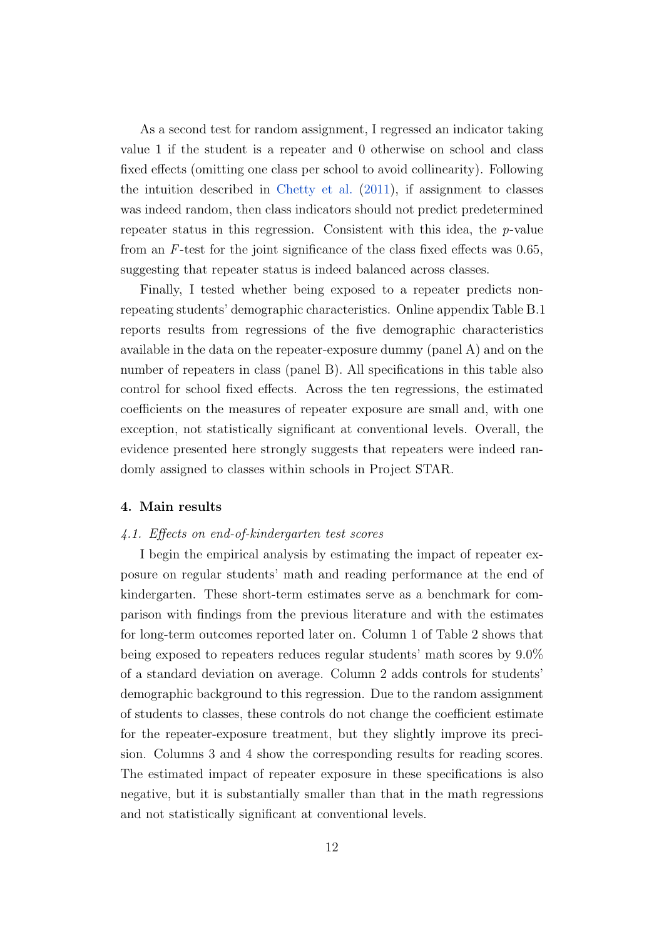As a second test for random assignment, I regressed an indicator taking value 1 if the student is a repeater and 0 otherwise on school and class fixed effects (omitting one class per school to avoid collinearity). Following the intuition described in [Chetty et al.](#page-24-4) [\(2011\)](#page-24-4), if assignment to classes was indeed random, then class indicators should not predict predetermined repeater status in this regression. Consistent with this idea, the p-value from an F-test for the joint significance of the class fixed effects was 0.65, suggesting that repeater status is indeed balanced across classes.

Finally, I tested whether being exposed to a repeater predicts nonrepeating students' demographic characteristics. Online appendix Table B.1 reports results from regressions of the five demographic characteristics available in the data on the repeater-exposure dummy (panel A) and on the number of repeaters in class (panel B). All specifications in this table also control for school fixed effects. Across the ten regressions, the estimated coefficients on the measures of repeater exposure are small and, with one exception, not statistically significant at conventional levels. Overall, the evidence presented here strongly suggests that repeaters were indeed randomly assigned to classes within schools in Project STAR.

#### 4. Main results

#### 4.1. Effects on end-of-kindergarten test scores

I begin the empirical analysis by estimating the impact of repeater exposure on regular students' math and reading performance at the end of kindergarten. These short-term estimates serve as a benchmark for comparison with findings from the previous literature and with the estimates for long-term outcomes reported later on. Column 1 of Table 2 shows that being exposed to repeaters reduces regular students' math scores by 9.0% of a standard deviation on average. Column 2 adds controls for students' demographic background to this regression. Due to the random assignment of students to classes, these controls do not change the coefficient estimate for the repeater-exposure treatment, but they slightly improve its precision. Columns 3 and 4 show the corresponding results for reading scores. The estimated impact of repeater exposure in these specifications is also negative, but it is substantially smaller than that in the math regressions and not statistically significant at conventional levels.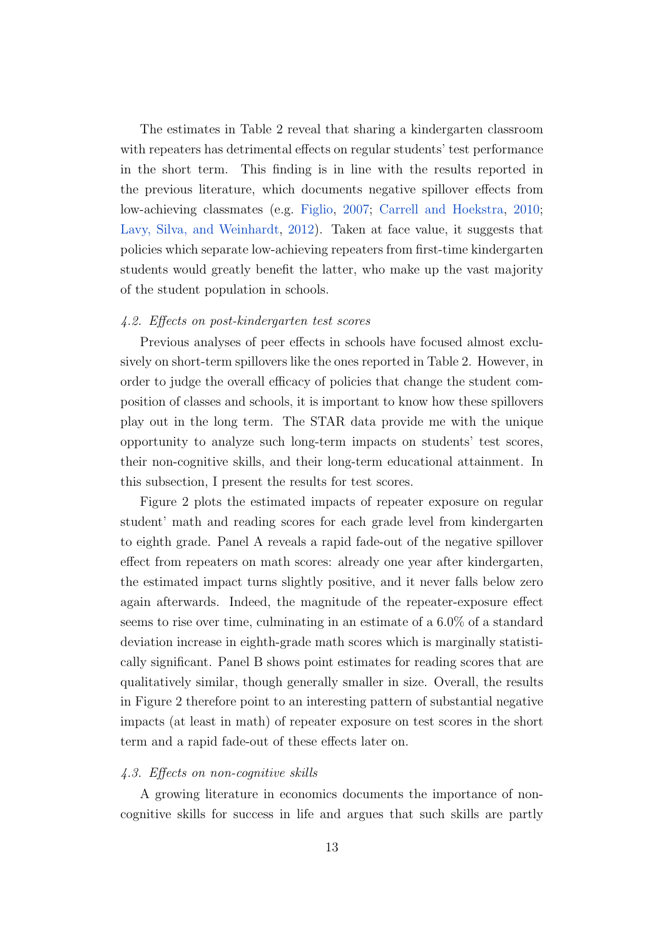The estimates in Table 2 reveal that sharing a kindergarten classroom with repeaters has detrimental effects on regular students' test performance in the short term. This finding is in line with the results reported in the previous literature, which documents negative spillover effects from low-achieving classmates (e.g. [Figlio,](#page-25-1) [2007;](#page-25-1) [Carrell and Hoekstra,](#page-24-1) [2010;](#page-24-1) [Lavy, Silva, and Weinhardt,](#page-26-1) [2012\)](#page-26-1). Taken at face value, it suggests that policies which separate low-achieving repeaters from first-time kindergarten students would greatly benefit the latter, who make up the vast majority of the student population in schools.

#### 4.2. Effects on post-kindergarten test scores

Previous analyses of peer effects in schools have focused almost exclusively on short-term spillovers like the ones reported in Table 2. However, in order to judge the overall efficacy of policies that change the student composition of classes and schools, it is important to know how these spillovers play out in the long term. The STAR data provide me with the unique opportunity to analyze such long-term impacts on students' test scores, their non-cognitive skills, and their long-term educational attainment. In this subsection, I present the results for test scores.

Figure 2 plots the estimated impacts of repeater exposure on regular student' math and reading scores for each grade level from kindergarten to eighth grade. Panel A reveals a rapid fade-out of the negative spillover effect from repeaters on math scores: already one year after kindergarten, the estimated impact turns slightly positive, and it never falls below zero again afterwards. Indeed, the magnitude of the repeater-exposure effect seems to rise over time, culminating in an estimate of a 6.0% of a standard deviation increase in eighth-grade math scores which is marginally statistically significant. Panel B shows point estimates for reading scores that are qualitatively similar, though generally smaller in size. Overall, the results in Figure 2 therefore point to an interesting pattern of substantial negative impacts (at least in math) of repeater exposure on test scores in the short term and a rapid fade-out of these effects later on.

#### 4.3. Effects on non-cognitive skills

A growing literature in economics documents the importance of noncognitive skills for success in life and argues that such skills are partly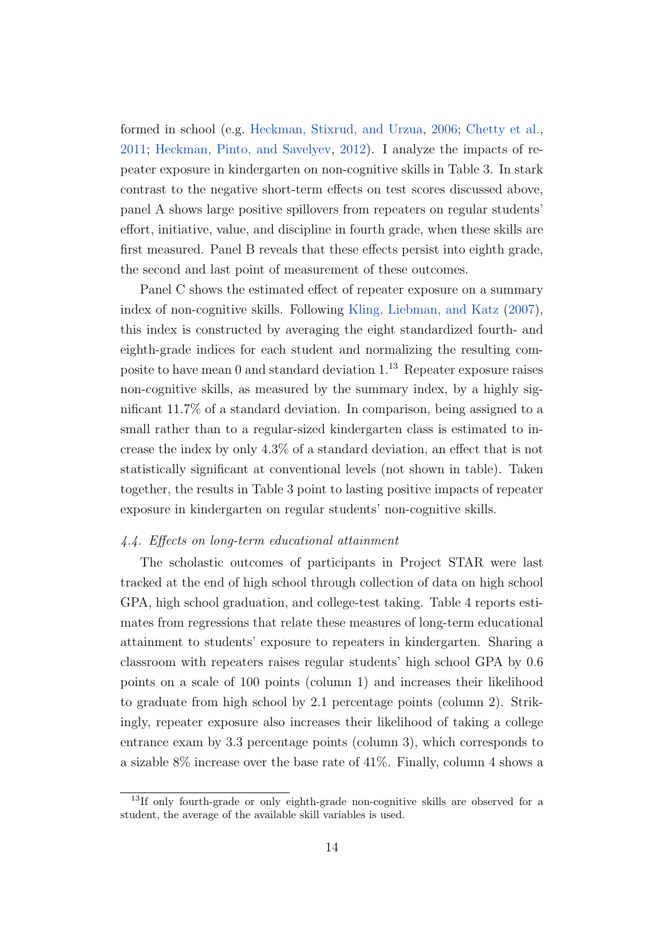formed in school (e.g. [Heckman, Stixrud, and Urzua,](#page-25-4) [2006;](#page-25-4) [Chetty et al.,](#page-24-4) [2011;](#page-24-4) [Heckman, Pinto, and Savelyev,](#page-25-10) [2012\)](#page-25-10). I analyze the impacts of repeater exposure in kindergarten on non-cognitive skills in Table 3. In stark contrast to the negative short-term effects on test scores discussed above, panel A shows large positive spillovers from repeaters on regular students' effort, initiative, value, and discipline in fourth grade, when these skills are first measured. Panel B reveals that these effects persist into eighth grade, the second and last point of measurement of these outcomes.

Panel C shows the estimated effect of repeater exposure on a summary index of non-cognitive skills. Following [Kling, Liebman, and Katz](#page-25-11) [\(2007\)](#page-25-11), this index is constructed by averaging the eight standardized fourth- and eighth-grade indices for each student and normalizing the resulting composite to have mean 0 and standard deviation 1.<sup>13</sup> Repeater exposure raises non-cognitive skills, as measured by the summary index, by a highly significant 11.7% of a standard deviation. In comparison, being assigned to a small rather than to a regular-sized kindergarten class is estimated to increase the index by only 4.3% of a standard deviation, an effect that is not statistically significant at conventional levels (not shown in table). Taken together, the results in Table 3 point to lasting positive impacts of repeater exposure in kindergarten on regular students' non-cognitive skills.

#### 4.4. Effects on long-term educational attainment

The scholastic outcomes of participants in Project STAR were last tracked at the end of high school through collection of data on high school GPA, high school graduation, and college-test taking. Table 4 reports estimates from regressions that relate these measures of long-term educational attainment to students' exposure to repeaters in kindergarten. Sharing a classroom with repeaters raises regular students' high school GPA by 0.6 points on a scale of 100 points (column 1) and increases their likelihood to graduate from high school by 2.1 percentage points (column 2). Strikingly, repeater exposure also increases their likelihood of taking a college entrance exam by 3.3 percentage points (column 3), which corresponds to a sizable 8% increase over the base rate of 41%. Finally, column 4 shows a

<sup>&</sup>lt;sup>13</sup>If only fourth-grade or only eighth-grade non-cognitive skills are observed for a student, the average of the available skill variables is used.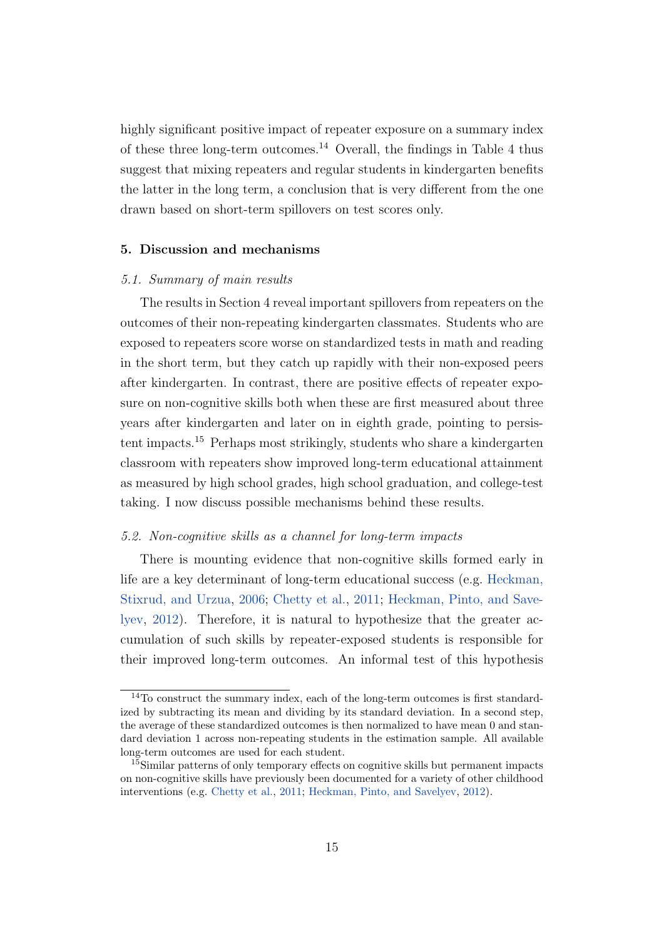highly significant positive impact of repeater exposure on a summary index of these three long-term outcomes.<sup>14</sup> Overall, the findings in Table 4 thus suggest that mixing repeaters and regular students in kindergarten benefits the latter in the long term, a conclusion that is very different from the one drawn based on short-term spillovers on test scores only.

#### 5. Discussion and mechanisms

#### 5.1. Summary of main results

The results in Section 4 reveal important spillovers from repeaters on the outcomes of their non-repeating kindergarten classmates. Students who are exposed to repeaters score worse on standardized tests in math and reading in the short term, but they catch up rapidly with their non-exposed peers after kindergarten. In contrast, there are positive effects of repeater exposure on non-cognitive skills both when these are first measured about three years after kindergarten and later on in eighth grade, pointing to persistent impacts.<sup>15</sup> Perhaps most strikingly, students who share a kindergarten classroom with repeaters show improved long-term educational attainment as measured by high school grades, high school graduation, and college-test taking. I now discuss possible mechanisms behind these results.

#### 5.2. Non-cognitive skills as a channel for long-term impacts

There is mounting evidence that non-cognitive skills formed early in life are a key determinant of long-term educational success (e.g. [Heckman,](#page-25-4) [Stixrud, and Urzua,](#page-25-4) [2006;](#page-25-4) [Chetty et al.,](#page-24-4) [2011;](#page-24-4) [Heckman, Pinto, and Save](#page-25-10)[lyev,](#page-25-10) [2012\)](#page-25-10). Therefore, it is natural to hypothesize that the greater accumulation of such skills by repeater-exposed students is responsible for their improved long-term outcomes. An informal test of this hypothesis

<sup>14</sup>To construct the summary index, each of the long-term outcomes is first standardized by subtracting its mean and dividing by its standard deviation. In a second step, the average of these standardized outcomes is then normalized to have mean 0 and standard deviation 1 across non-repeating students in the estimation sample. All available long-term outcomes are used for each student.

<sup>&</sup>lt;sup>15</sup>Similar patterns of only temporary effects on cognitive skills but permanent impacts on non-cognitive skills have previously been documented for a variety of other childhood interventions (e.g. [Chetty et al.,](#page-24-4) [2011;](#page-24-4) [Heckman, Pinto, and Savelyev,](#page-25-10) [2012\)](#page-25-10).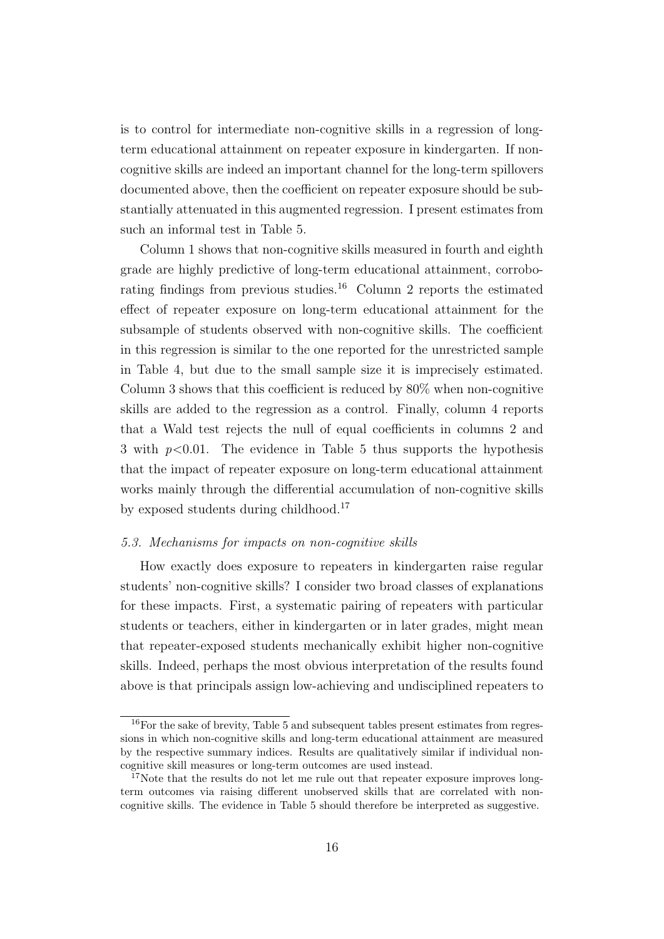is to control for intermediate non-cognitive skills in a regression of longterm educational attainment on repeater exposure in kindergarten. If noncognitive skills are indeed an important channel for the long-term spillovers documented above, then the coefficient on repeater exposure should be substantially attenuated in this augmented regression. I present estimates from such an informal test in Table 5.

Column 1 shows that non-cognitive skills measured in fourth and eighth grade are highly predictive of long-term educational attainment, corroborating findings from previous studies.<sup>16</sup> Column 2 reports the estimated effect of repeater exposure on long-term educational attainment for the subsample of students observed with non-cognitive skills. The coefficient in this regression is similar to the one reported for the unrestricted sample in Table 4, but due to the small sample size it is imprecisely estimated. Column 3 shows that this coefficient is reduced by 80% when non-cognitive skills are added to the regression as a control. Finally, column 4 reports that a Wald test rejects the null of equal coefficients in columns 2 and 3 with  $p<0.01$ . The evidence in Table 5 thus supports the hypothesis that the impact of repeater exposure on long-term educational attainment works mainly through the differential accumulation of non-cognitive skills by exposed students during childhood.<sup>17</sup>

#### 5.3. Mechanisms for impacts on non-cognitive skills

How exactly does exposure to repeaters in kindergarten raise regular students' non-cognitive skills? I consider two broad classes of explanations for these impacts. First, a systematic pairing of repeaters with particular students or teachers, either in kindergarten or in later grades, might mean that repeater-exposed students mechanically exhibit higher non-cognitive skills. Indeed, perhaps the most obvious interpretation of the results found above is that principals assign low-achieving and undisciplined repeaters to

<sup>&</sup>lt;sup>16</sup>For the sake of brevity, Table 5 and subsequent tables present estimates from regressions in which non-cognitive skills and long-term educational attainment are measured by the respective summary indices. Results are qualitatively similar if individual noncognitive skill measures or long-term outcomes are used instead.

<sup>&</sup>lt;sup>17</sup>Note that the results do not let me rule out that repeater exposure improves longterm outcomes via raising different unobserved skills that are correlated with noncognitive skills. The evidence in Table 5 should therefore be interpreted as suggestive.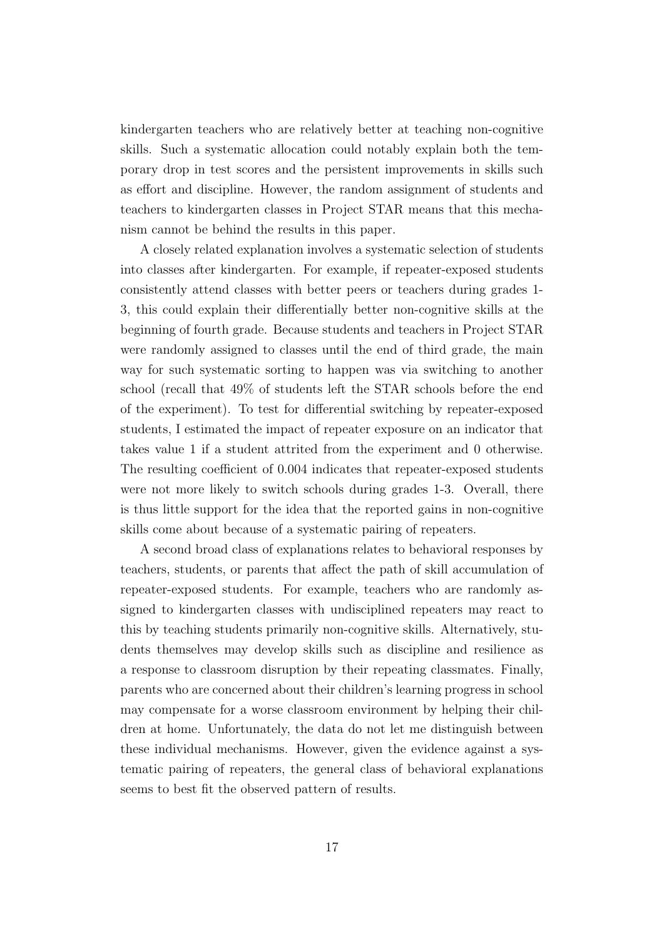kindergarten teachers who are relatively better at teaching non-cognitive skills. Such a systematic allocation could notably explain both the temporary drop in test scores and the persistent improvements in skills such as effort and discipline. However, the random assignment of students and teachers to kindergarten classes in Project STAR means that this mechanism cannot be behind the results in this paper.

A closely related explanation involves a systematic selection of students into classes after kindergarten. For example, if repeater-exposed students consistently attend classes with better peers or teachers during grades 1- 3, this could explain their differentially better non-cognitive skills at the beginning of fourth grade. Because students and teachers in Project STAR were randomly assigned to classes until the end of third grade, the main way for such systematic sorting to happen was via switching to another school (recall that 49% of students left the STAR schools before the end of the experiment). To test for differential switching by repeater-exposed students, I estimated the impact of repeater exposure on an indicator that takes value 1 if a student attrited from the experiment and 0 otherwise. The resulting coefficient of 0.004 indicates that repeater-exposed students were not more likely to switch schools during grades 1-3. Overall, there is thus little support for the idea that the reported gains in non-cognitive skills come about because of a systematic pairing of repeaters.

A second broad class of explanations relates to behavioral responses by teachers, students, or parents that affect the path of skill accumulation of repeater-exposed students. For example, teachers who are randomly assigned to kindergarten classes with undisciplined repeaters may react to this by teaching students primarily non-cognitive skills. Alternatively, students themselves may develop skills such as discipline and resilience as a response to classroom disruption by their repeating classmates. Finally, parents who are concerned about their children's learning progress in school may compensate for a worse classroom environment by helping their children at home. Unfortunately, the data do not let me distinguish between these individual mechanisms. However, given the evidence against a systematic pairing of repeaters, the general class of behavioral explanations seems to best fit the observed pattern of results.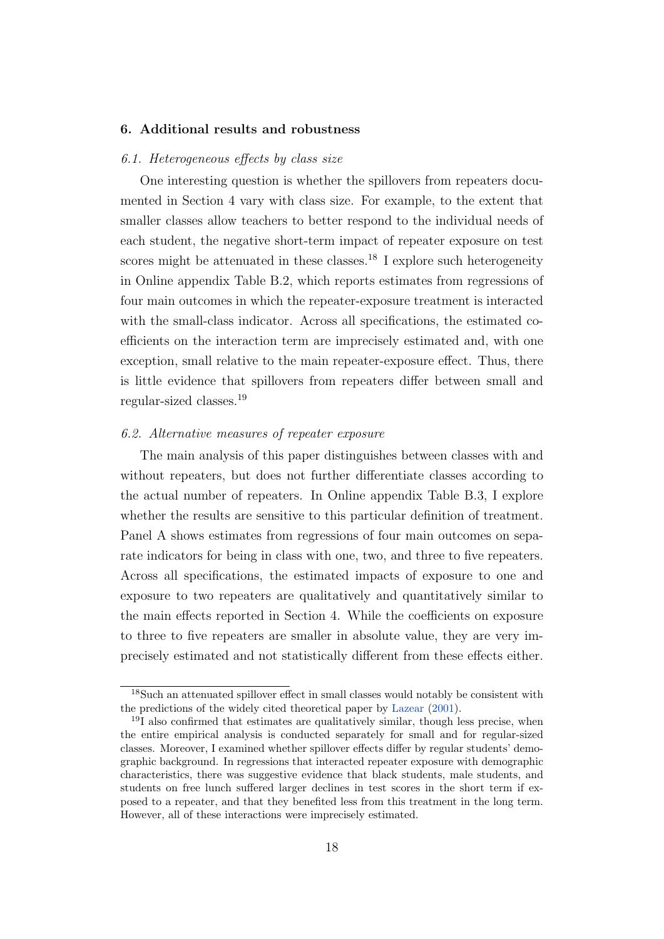#### 6. Additional results and robustness

#### 6.1. Heterogeneous effects by class size

One interesting question is whether the spillovers from repeaters documented in Section 4 vary with class size. For example, to the extent that smaller classes allow teachers to better respond to the individual needs of each student, the negative short-term impact of repeater exposure on test scores might be attenuated in these classes.<sup>18</sup> I explore such heterogeneity in Online appendix Table B.2, which reports estimates from regressions of four main outcomes in which the repeater-exposure treatment is interacted with the small-class indicator. Across all specifications, the estimated coefficients on the interaction term are imprecisely estimated and, with one exception, small relative to the main repeater-exposure effect. Thus, there is little evidence that spillovers from repeaters differ between small and regular-sized classes.<sup>19</sup>

#### 6.2. Alternative measures of repeater exposure

The main analysis of this paper distinguishes between classes with and without repeaters, but does not further differentiate classes according to the actual number of repeaters. In Online appendix Table B.3, I explore whether the results are sensitive to this particular definition of treatment. Panel A shows estimates from regressions of four main outcomes on separate indicators for being in class with one, two, and three to five repeaters. Across all specifications, the estimated impacts of exposure to one and exposure to two repeaters are qualitatively and quantitatively similar to the main effects reported in Section 4. While the coefficients on exposure to three to five repeaters are smaller in absolute value, they are very imprecisely estimated and not statistically different from these effects either.

<sup>&</sup>lt;sup>18</sup>Such an attenuated spillover effect in small classes would notably be consistent with the predictions of the widely cited theoretical paper by [Lazear](#page-26-8) [\(2001\)](#page-26-8).

 $19I$  also confirmed that estimates are qualitatively similar, though less precise, when the entire empirical analysis is conducted separately for small and for regular-sized classes. Moreover, I examined whether spillover effects differ by regular students' demographic background. In regressions that interacted repeater exposure with demographic characteristics, there was suggestive evidence that black students, male students, and students on free lunch suffered larger declines in test scores in the short term if exposed to a repeater, and that they benefited less from this treatment in the long term. However, all of these interactions were imprecisely estimated.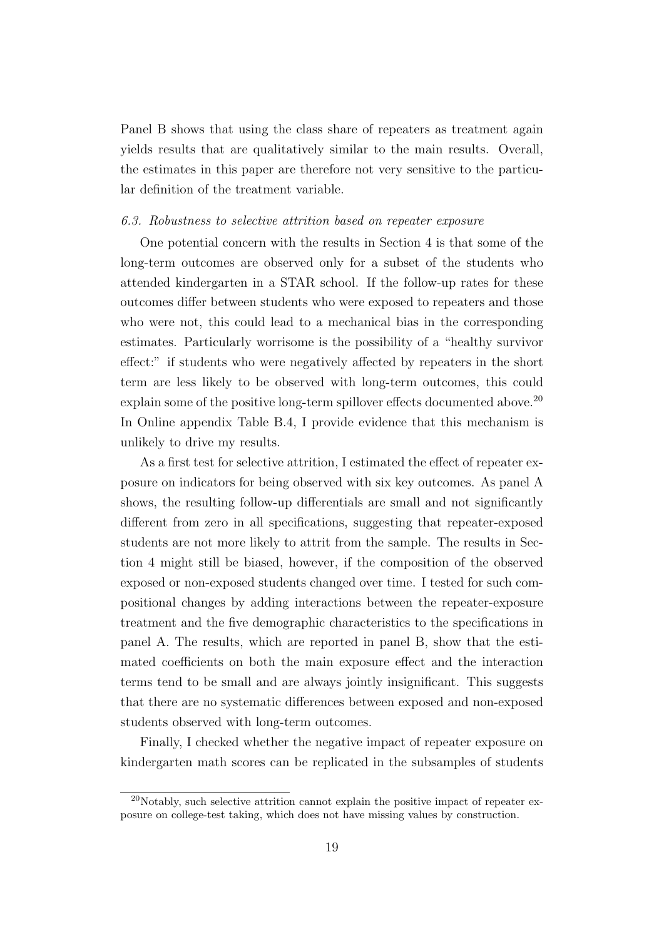Panel B shows that using the class share of repeaters as treatment again yields results that are qualitatively similar to the main results. Overall, the estimates in this paper are therefore not very sensitive to the particular definition of the treatment variable.

#### 6.3. Robustness to selective attrition based on repeater exposure

One potential concern with the results in Section 4 is that some of the long-term outcomes are observed only for a subset of the students who attended kindergarten in a STAR school. If the follow-up rates for these outcomes differ between students who were exposed to repeaters and those who were not, this could lead to a mechanical bias in the corresponding estimates. Particularly worrisome is the possibility of a "healthy survivor effect:" if students who were negatively affected by repeaters in the short term are less likely to be observed with long-term outcomes, this could explain some of the positive long-term spillover effects documented above.<sup>20</sup> In Online appendix Table B.4, I provide evidence that this mechanism is unlikely to drive my results.

As a first test for selective attrition, I estimated the effect of repeater exposure on indicators for being observed with six key outcomes. As panel A shows, the resulting follow-up differentials are small and not significantly different from zero in all specifications, suggesting that repeater-exposed students are not more likely to attrit from the sample. The results in Section 4 might still be biased, however, if the composition of the observed exposed or non-exposed students changed over time. I tested for such compositional changes by adding interactions between the repeater-exposure treatment and the five demographic characteristics to the specifications in panel A. The results, which are reported in panel B, show that the estimated coefficients on both the main exposure effect and the interaction terms tend to be small and are always jointly insignificant. This suggests that there are no systematic differences between exposed and non-exposed students observed with long-term outcomes.

Finally, I checked whether the negative impact of repeater exposure on kindergarten math scores can be replicated in the subsamples of students

 $^{20}$ Notably, such selective attrition cannot explain the positive impact of repeater exposure on college-test taking, which does not have missing values by construction.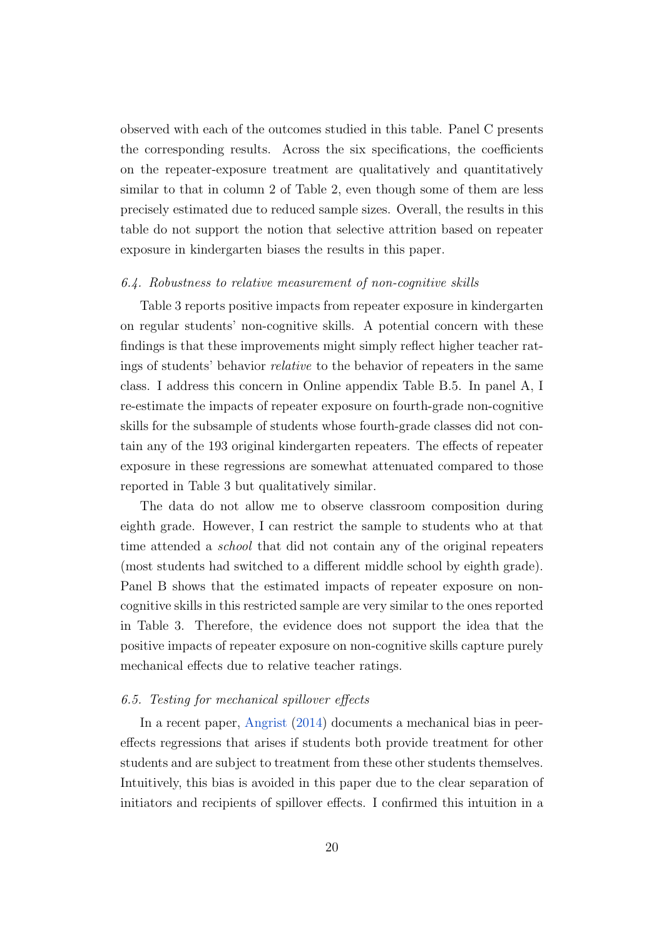observed with each of the outcomes studied in this table. Panel C presents the corresponding results. Across the six specifications, the coefficients on the repeater-exposure treatment are qualitatively and quantitatively similar to that in column 2 of Table 2, even though some of them are less precisely estimated due to reduced sample sizes. Overall, the results in this table do not support the notion that selective attrition based on repeater exposure in kindergarten biases the results in this paper.

#### 6.4. Robustness to relative measurement of non-cognitive skills

Table 3 reports positive impacts from repeater exposure in kindergarten on regular students' non-cognitive skills. A potential concern with these findings is that these improvements might simply reflect higher teacher ratings of students' behavior relative to the behavior of repeaters in the same class. I address this concern in Online appendix Table B.5. In panel A, I re-estimate the impacts of repeater exposure on fourth-grade non-cognitive skills for the subsample of students whose fourth-grade classes did not contain any of the 193 original kindergarten repeaters. The effects of repeater exposure in these regressions are somewhat attenuated compared to those reported in Table 3 but qualitatively similar.

The data do not allow me to observe classroom composition during eighth grade. However, I can restrict the sample to students who at that time attended a school that did not contain any of the original repeaters (most students had switched to a different middle school by eighth grade). Panel B shows that the estimated impacts of repeater exposure on noncognitive skills in this restricted sample are very similar to the ones reported in Table 3. Therefore, the evidence does not support the idea that the positive impacts of repeater exposure on non-cognitive skills capture purely mechanical effects due to relative teacher ratings.

#### 6.5. Testing for mechanical spillover effects

In a recent paper, [Angrist](#page-24-7) [\(2014\)](#page-24-7) documents a mechanical bias in peereffects regressions that arises if students both provide treatment for other students and are subject to treatment from these other students themselves. Intuitively, this bias is avoided in this paper due to the clear separation of initiators and recipients of spillover effects. I confirmed this intuition in a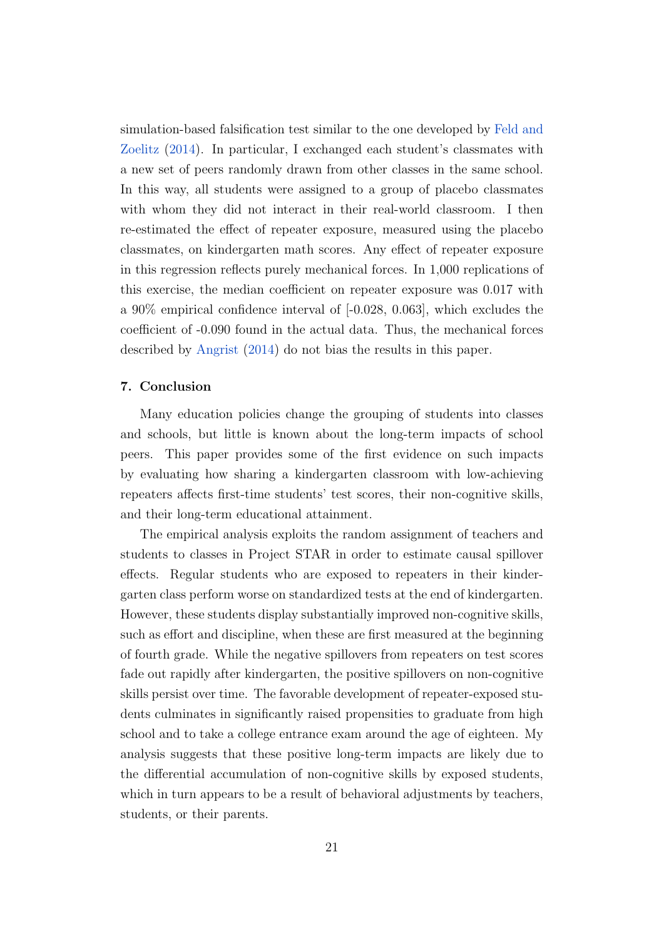simulation-based falsification test similar to the one developed by [Feld and](#page-25-12) [Zoelitz](#page-25-12) [\(2014\)](#page-25-12). In particular, I exchanged each student's classmates with a new set of peers randomly drawn from other classes in the same school. In this way, all students were assigned to a group of placebo classmates with whom they did not interact in their real-world classroom. I then re-estimated the effect of repeater exposure, measured using the placebo classmates, on kindergarten math scores. Any effect of repeater exposure in this regression reflects purely mechanical forces. In 1,000 replications of this exercise, the median coefficient on repeater exposure was 0.017 with a 90% empirical confidence interval of [-0.028, 0.063], which excludes the coefficient of -0.090 found in the actual data. Thus, the mechanical forces described by [Angrist](#page-24-7) [\(2014\)](#page-24-7) do not bias the results in this paper.

#### 7. Conclusion

Many education policies change the grouping of students into classes and schools, but little is known about the long-term impacts of school peers. This paper provides some of the first evidence on such impacts by evaluating how sharing a kindergarten classroom with low-achieving repeaters affects first-time students' test scores, their non-cognitive skills, and their long-term educational attainment.

The empirical analysis exploits the random assignment of teachers and students to classes in Project STAR in order to estimate causal spillover effects. Regular students who are exposed to repeaters in their kindergarten class perform worse on standardized tests at the end of kindergarten. However, these students display substantially improved non-cognitive skills, such as effort and discipline, when these are first measured at the beginning of fourth grade. While the negative spillovers from repeaters on test scores fade out rapidly after kindergarten, the positive spillovers on non-cognitive skills persist over time. The favorable development of repeater-exposed students culminates in significantly raised propensities to graduate from high school and to take a college entrance exam around the age of eighteen. My analysis suggests that these positive long-term impacts are likely due to the differential accumulation of non-cognitive skills by exposed students, which in turn appears to be a result of behavioral adjustments by teachers, students, or their parents.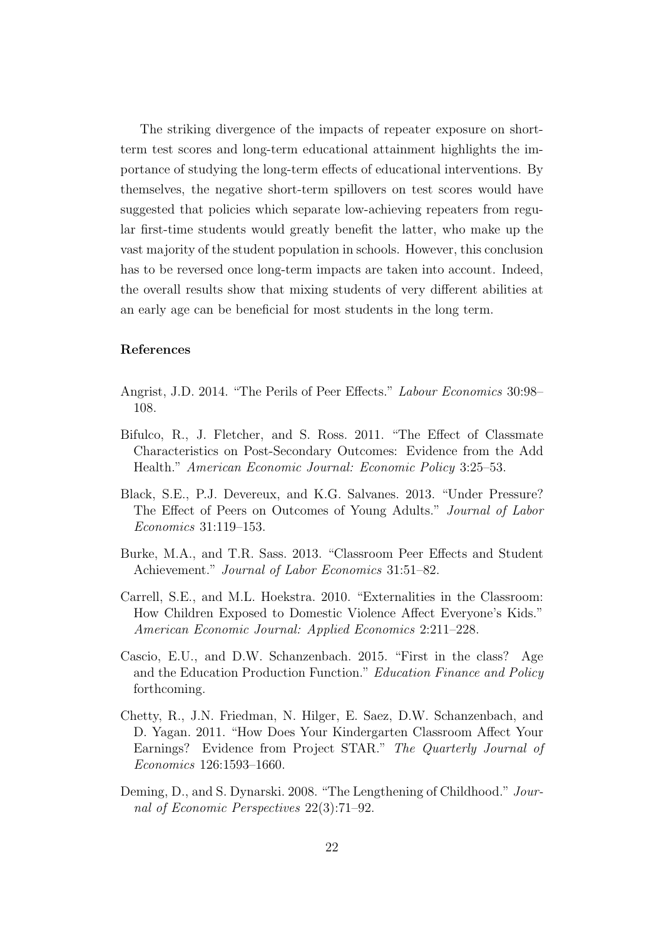The striking divergence of the impacts of repeater exposure on shortterm test scores and long-term educational attainment highlights the importance of studying the long-term effects of educational interventions. By themselves, the negative short-term spillovers on test scores would have suggested that policies which separate low-achieving repeaters from regular first-time students would greatly benefit the latter, who make up the vast majority of the student population in schools. However, this conclusion has to be reversed once long-term impacts are taken into account. Indeed, the overall results show that mixing students of very different abilities at an early age can be beneficial for most students in the long term.

#### References

- <span id="page-24-7"></span>Angrist, J.D. 2014. "The Perils of Peer Effects." Labour Economics 30:98– 108.
- <span id="page-24-2"></span>Bifulco, R., J. Fletcher, and S. Ross. 2011. "The Effect of Classmate Characteristics on Post-Secondary Outcomes: Evidence from the Add Health." American Economic Journal: Economic Policy 3:25–53.
- <span id="page-24-3"></span>Black, S.E., P.J. Devereux, and K.G. Salvanes. 2013. "Under Pressure? The Effect of Peers on Outcomes of Young Adults." Journal of Labor Economics 31:119–153.
- <span id="page-24-0"></span>Burke, M.A., and T.R. Sass. 2013. "Classroom Peer Effects and Student Achievement." Journal of Labor Economics 31:51–82.
- <span id="page-24-1"></span>Carrell, S.E., and M.L. Hoekstra. 2010. "Externalities in the Classroom: How Children Exposed to Domestic Violence Affect Everyone's Kids." American Economic Journal: Applied Economics 2:211–228.
- <span id="page-24-5"></span>Cascio, E.U., and D.W. Schanzenbach. 2015. "First in the class? Age and the Education Production Function." Education Finance and Policy forthcoming.
- <span id="page-24-4"></span>Chetty, R., J.N. Friedman, N. Hilger, E. Saez, D.W. Schanzenbach, and D. Yagan. 2011. "How Does Your Kindergarten Classroom Affect Your Earnings? Evidence from Project STAR." The Quarterly Journal of Economics 126:1593–1660.
- <span id="page-24-6"></span>Deming, D., and S. Dynarski. 2008. "The Lengthening of Childhood." Journal of Economic Perspectives 22(3):71–92.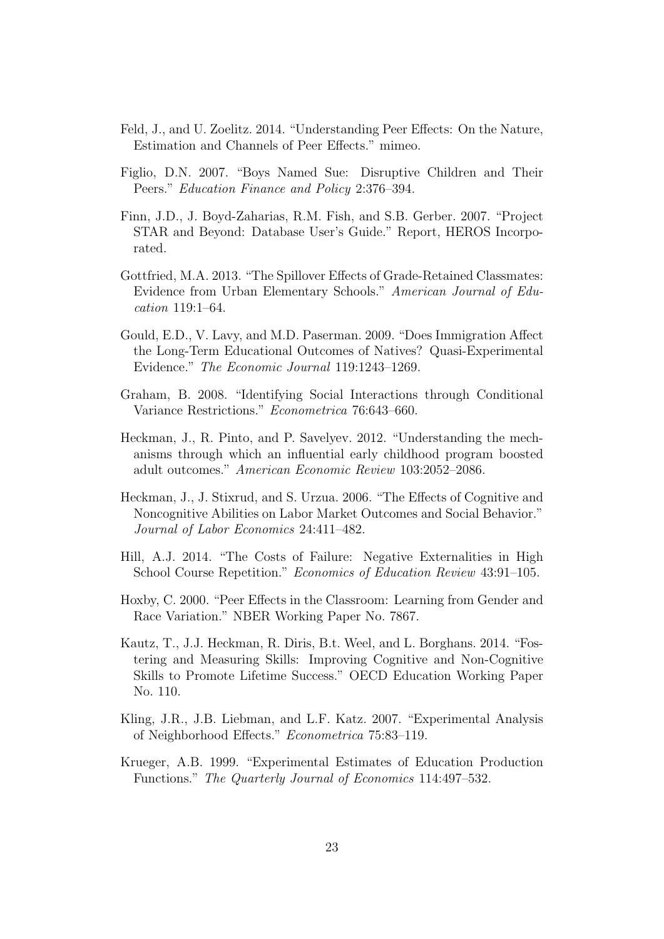- <span id="page-25-12"></span>Feld, J., and U. Zoelitz. 2014. "Understanding Peer Effects: On the Nature, Estimation and Channels of Peer Effects." mimeo.
- <span id="page-25-1"></span>Figlio, D.N. 2007. "Boys Named Sue: Disruptive Children and Their Peers." Education Finance and Policy 2:376–394.
- <span id="page-25-9"></span>Finn, J.D., J. Boyd-Zaharias, R.M. Fish, and S.B. Gerber. 2007. "Project STAR and Beyond: Database User's Guide." Report, HEROS Incorporated.
- <span id="page-25-2"></span>Gottfried, M.A. 2013. "The Spillover Effects of Grade-Retained Classmates: Evidence from Urban Elementary Schools." American Journal of Education 119:1–64.
- <span id="page-25-6"></span>Gould, E.D., V. Lavy, and M.D. Paserman. 2009. "Does Immigration Affect the Long-Term Educational Outcomes of Natives? Quasi-Experimental Evidence." The Economic Journal 119:1243–1269.
- <span id="page-25-5"></span>Graham, B. 2008. "Identifying Social Interactions through Conditional Variance Restrictions." Econometrica 76:643–660.
- <span id="page-25-10"></span>Heckman, J., R. Pinto, and P. Savelyev. 2012. "Understanding the mechanisms through which an influential early childhood program boosted adult outcomes." American Economic Review 103:2052–2086.
- <span id="page-25-4"></span>Heckman, J., J. Stixrud, and S. Urzua. 2006. "The Effects of Cognitive and Noncognitive Abilities on Labor Market Outcomes and Social Behavior." Journal of Labor Economics 24:411–482.
- <span id="page-25-3"></span>Hill, A.J. 2014. "The Costs of Failure: Negative Externalities in High School Course Repetition." Economics of Education Review 43:91–105.
- <span id="page-25-0"></span>Hoxby, C. 2000. "Peer Effects in the Classroom: Learning from Gender and Race Variation." NBER Working Paper No. 7867.
- <span id="page-25-7"></span>Kautz, T., J.J. Heckman, R. Diris, B.t. Weel, and L. Borghans. 2014. "Fostering and Measuring Skills: Improving Cognitive and Non-Cognitive Skills to Promote Lifetime Success." OECD Education Working Paper No. 110.
- <span id="page-25-11"></span>Kling, J.R., J.B. Liebman, and L.F. Katz. 2007. "Experimental Analysis of Neighborhood Effects." Econometrica 75:83–119.
- <span id="page-25-8"></span>Krueger, A.B. 1999. "Experimental Estimates of Education Production Functions." The Quarterly Journal of Economics 114:497–532.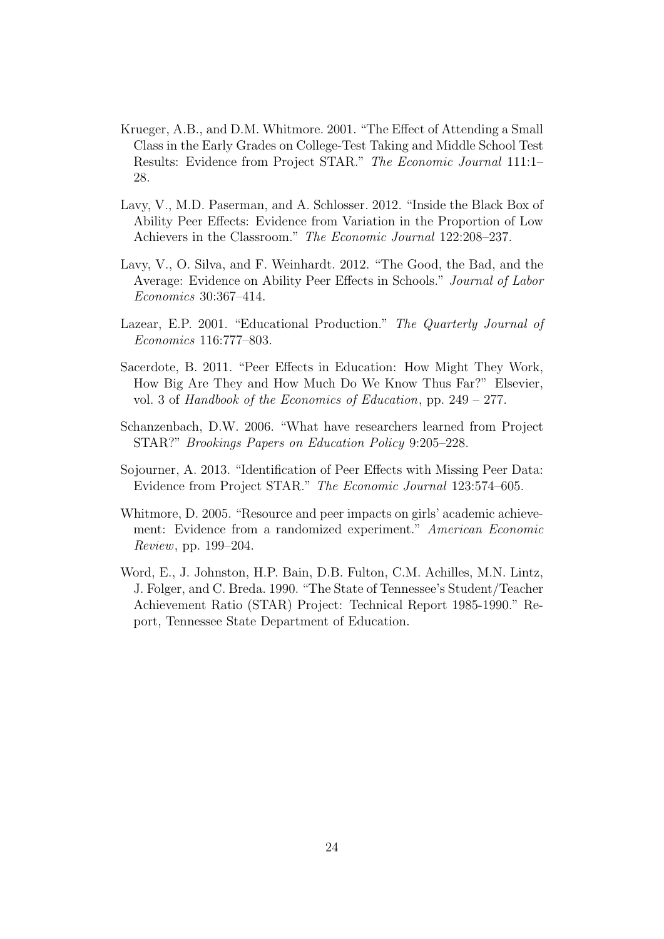- <span id="page-26-6"></span>Krueger, A.B., and D.M. Whitmore. 2001. "The Effect of Attending a Small Class in the Early Grades on College-Test Taking and Middle School Test Results: Evidence from Project STAR." The Economic Journal 111:1– 28.
- <span id="page-26-2"></span>Lavy, V., M.D. Paserman, and A. Schlosser. 2012. "Inside the Black Box of Ability Peer Effects: Evidence from Variation in the Proportion of Low Achievers in the Classroom." The Economic Journal 122:208–237.
- <span id="page-26-1"></span>Lavy, V., O. Silva, and F. Weinhardt. 2012. "The Good, the Bad, and the Average: Evidence on Ability Peer Effects in Schools." Journal of Labor Economics 30:367–414.
- <span id="page-26-8"></span>Lazear, E.P. 2001. "Educational Production." The Quarterly Journal of Economics 116:777–803.
- <span id="page-26-3"></span>Sacerdote, B. 2011. "Peer Effects in Education: How Might They Work, How Big Are They and How Much Do We Know Thus Far?" Elsevier, vol. 3 of Handbook of the Economics of Education, pp. 249 – 277.
- <span id="page-26-7"></span>Schanzenbach, D.W. 2006. "What have researchers learned from Project STAR?" Brookings Papers on Education Policy 9:205–228.
- <span id="page-26-0"></span>Sojourner, A. 2013. "Identification of Peer Effects with Missing Peer Data: Evidence from Project STAR." The Economic Journal 123:574–605.
- <span id="page-26-4"></span>Whitmore, D. 2005. "Resource and peer impacts on girls' academic achievement: Evidence from a randomized experiment." American Economic Review, pp. 199–204.
- <span id="page-26-5"></span>Word, E., J. Johnston, H.P. Bain, D.B. Fulton, C.M. Achilles, M.N. Lintz, J. Folger, and C. Breda. 1990. "The State of Tennessee's Student/Teacher Achievement Ratio (STAR) Project: Technical Report 1985-1990." Report, Tennessee State Department of Education.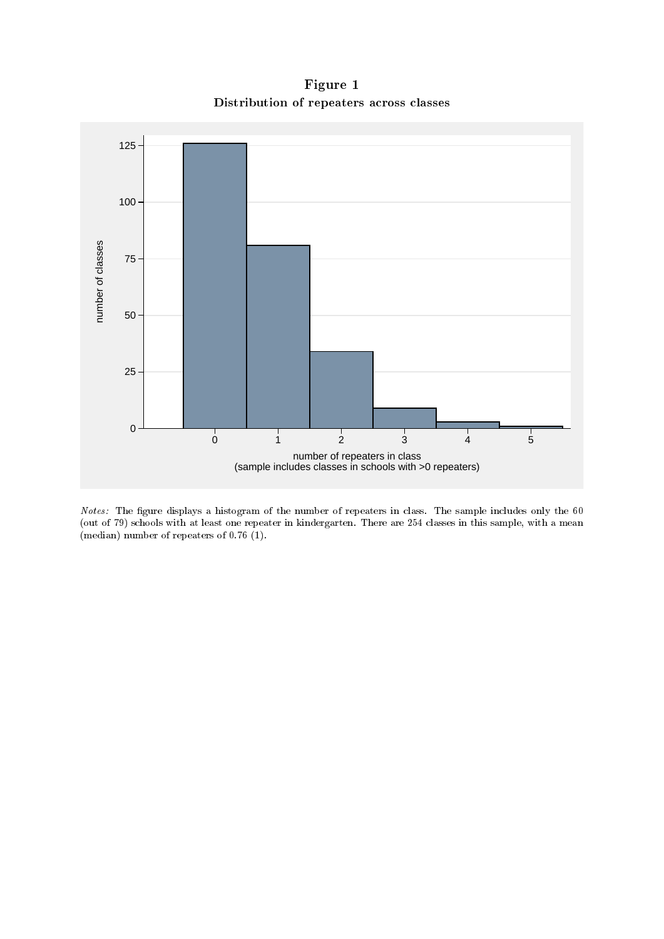Figure 1 Distribution of repeaters across classes



Notes: The figure displays a histogram of the number of repeaters in class. The sample includes only the 60 (out of 79) schools with at least one repeater in kindergarten. There are 254 classes in this sample, with a mean (median) number of repeaters of 0.76 (1).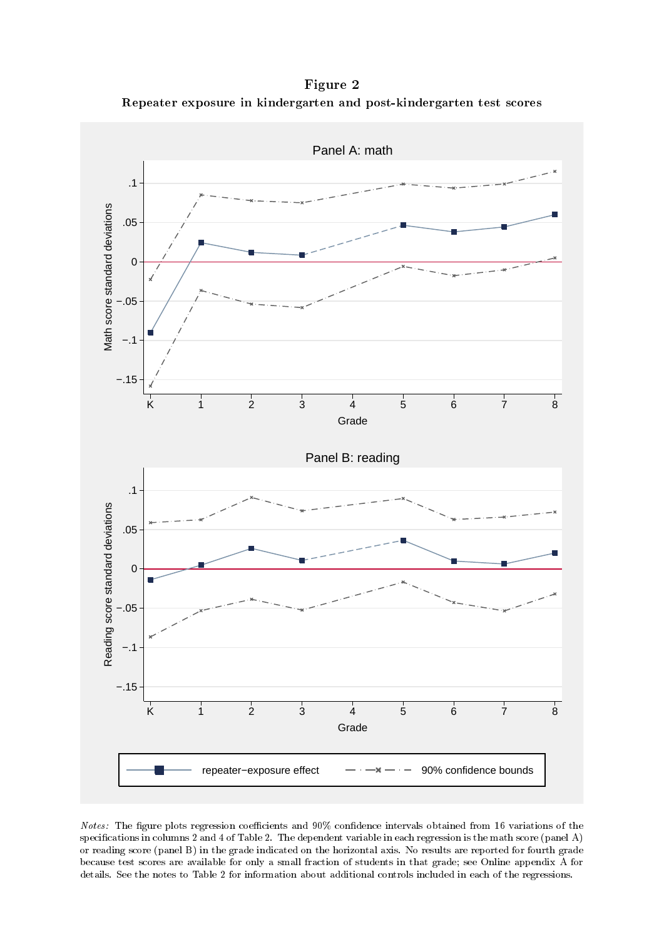Figure 2 Repeater exposure in kindergarten and post-kindergarten test scores



Notes: The figure plots regression coefficients and 90% confidence intervals obtained from 16 variations of the specifications in columns 2 and 4 of Table 2. The dependent variable in each regression is the math score (panel  $A$ ) or reading score (panel B) in the grade indicated on the horizontal axis. No results are reported for fourth grade because test scores are available for only a small fraction of students in that grade; see Online appendix A for details. See the notes to Table 2 for information about additional controls included in each of the regressions.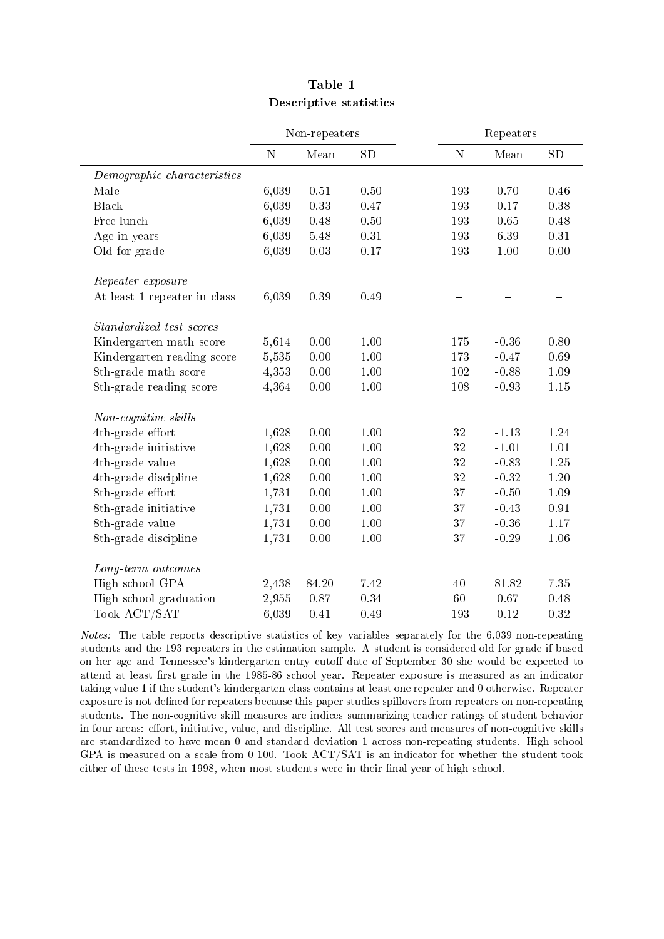|                              |             | Non-repeaters |      |           | Repeaters |          |
|------------------------------|-------------|---------------|------|-----------|-----------|----------|
|                              | $\mathbf N$ | Mean          | SD   | ${\rm N}$ | Mean      | SD       |
| Demographic characteristics  |             |               |      |           |           |          |
| Male                         | 6,039       | 0.51          | 0.50 | 193       | 0.70      | 0.46     |
| Black                        | 6,039       | 0.33          | 0.47 | 193       | 0.17      | 0.38     |
| Free lunch                   | 6,039       | 0.48          | 0.50 | 193       | 0.65      | 0.48     |
| Age in years                 | 6,039       | 5.48          | 0.31 | 193       | 6.39      | 0.31     |
| Old for grade                | 6,039       | 0.03          | 0.17 | 193       | 1.00      | 0.00     |
| Repeater exposure            |             |               |      |           |           |          |
| At least 1 repeater in class | 6,039       | 0.39          | 0.49 |           |           |          |
| Standardized test scores     |             |               |      |           |           |          |
| Kindergarten math score      | 5,614       | 0.00          | 1.00 | 175       | $-0.36$   | 0.80     |
| Kindergarten reading score   | 5,535       | 0.00          | 1.00 | 173       | $-0.47$   | $0.69\,$ |
| 8th-grade math score         | 4,353       | 0.00          | 1.00 | 102       | $-0.88$   | 1.09     |
| 8th-grade reading score      | 4,364       | 0.00          | 1.00 | 108       | $-0.93$   | $1.15\,$ |
| Non-cognitive skills         |             |               |      |           |           |          |
| 4th-grade effort             | 1,628       | 0.00          | 1.00 | $32\,$    | $-1.13$   | 1.24     |
| 4th-grade initiative         | 1,628       | 0.00          | 1.00 | $32\,$    | $-1.01$   | 1.01     |
| 4th-grade value              | 1,628       | 0.00          | 1.00 | 32        | $-0.83$   | $1.25\,$ |
| 4th-grade discipline         | 1,628       | 0.00          | 1.00 | 32        | $-0.32$   | $1.20\,$ |
| 8th-grade effort             | 1,731       | 0.00          | 1.00 | 37        | $-0.50$   | 1.09     |
| 8th-grade initiative         | 1,731       | 0.00          | 1.00 | 37        | $-0.43$   | 0.91     |
| 8th-grade value              | 1,731       | 0.00          | 1.00 | 37        | $-0.36$   | 1.17     |
| 8th-grade discipline         | 1,731       | 0.00          | 1.00 | 37        | $-0.29$   | 1.06     |
| Long-term outcomes           |             |               |      |           |           |          |
| High school GPA              | 2,438       | 84.20         | 7.42 | 40        | 81.82     | 7.35     |
| High school graduation       | 2,955       | 0.87          | 0.34 | 60        | 0.67      | 0.48     |
| Took ACT/SAT                 | 6,039       | 0.41          | 0.49 | 193       | 0.12      | 0.32     |

| Table 1                |  |
|------------------------|--|
| Descriptive statistics |  |

Notes: The table reports descriptive statistics of key variables separately for the 6,039 non-repeating students and the 193 repeaters in the estimation sample. A student is considered old for grade if based on her age and Tennessee's kindergarten entry cutoff date of September 30 she would be expected to attend at least first grade in the 1985-86 school year. Repeater exposure is measured as an indicator taking value 1 if the student's kindergarten class contains at least one repeater and 0 otherwise. Repeater exposure is not defined for repeaters because this paper studies spillovers from repeaters on non-repeating students. The non-cognitive skill measures are indices summarizing teacher ratings of student behavior in four areas: effort, initiative, value, and discipline. All test scores and measures of non-cognitive skills are standardized to have mean 0 and standard deviation 1 across non-repeating students. High school GPA is measured on a scale from 0-100. Took ACT/SAT is an indicator for whether the student took either of these tests in 1998, when most students were in their final year of high school.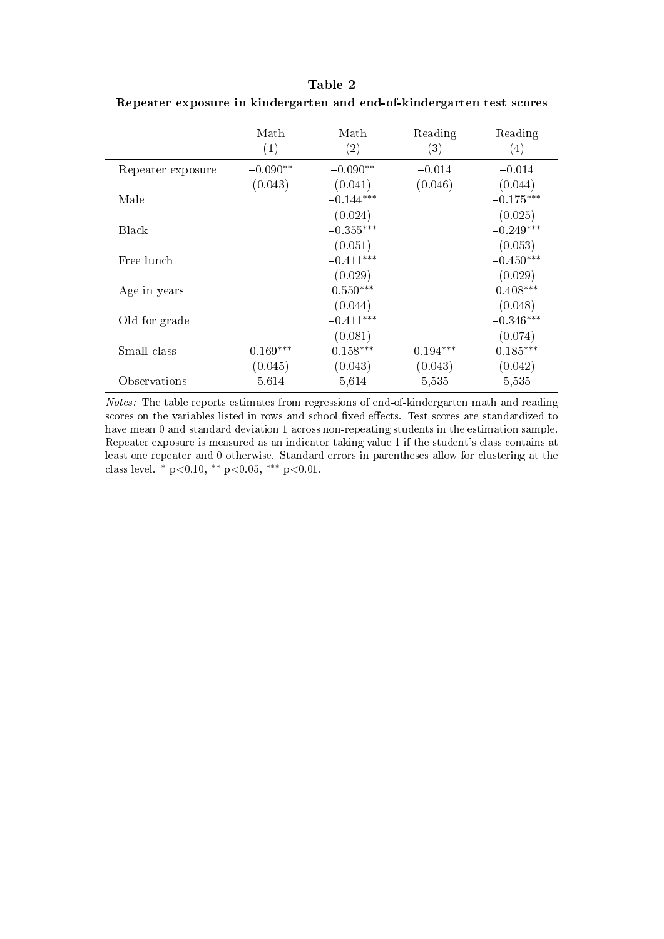|                   | Math              | Math        | Reading           | Reading     |
|-------------------|-------------------|-------------|-------------------|-------------|
|                   | $\left( 1\right)$ | (2)         | $\left( 3\right)$ | (4)         |
| Repeater exposure | $-0.090**$        | $-0.090**$  | $-0.014$          | $-0.014$    |
|                   | (0.043)           | (0.041)     | (0.046)           | (0.044)     |
| Male              |                   | $-0.144***$ |                   | $-0.175***$ |
|                   |                   | (0.024)     |                   | (0.025)     |
| <b>Black</b>      |                   | $-0.355***$ |                   | $-0.249***$ |
|                   |                   | (0.051)     |                   | (0.053)     |
| Free lunch        |                   | $-0.411***$ |                   | $-0.450***$ |
|                   |                   | (0.029)     |                   | (0.029)     |
| Age in years      |                   | $0.550***$  |                   | $0.408***$  |
|                   |                   | (0.044)     |                   | (0.048)     |
| Old for grade     |                   | $-0.411***$ |                   | $-0.346***$ |
|                   |                   | (0.081)     |                   | (0.074)     |
| Small class       | $0.169***$        | $0.158***$  | $0.194***$        | $0.185***$  |
|                   | (0.045)           | (0.043)     | (0.043)           | (0.042)     |
| Observations      | 5,614             | 5,614       | 5,535             | 5,535       |
|                   |                   |             |                   |             |

Table 2 Repeater exposure in kindergarten and end-of-kindergarten test scores

Notes: The table reports estimates from regressions of end-of-kindergarten math and reading scores on the variables listed in rows and school fixed effects. Test scores are standardized to have mean 0 and standard deviation 1 across non-repeating students in the estimation sample. Repeater exposure is measured as an indicator taking value 1 if the student's class contains at least one repeater and 0 otherwise. Standard errors in parentheses allow for clustering at the class level.  $*$  p<0.10,  $*$  p<0.05,  $**$  p<0.01.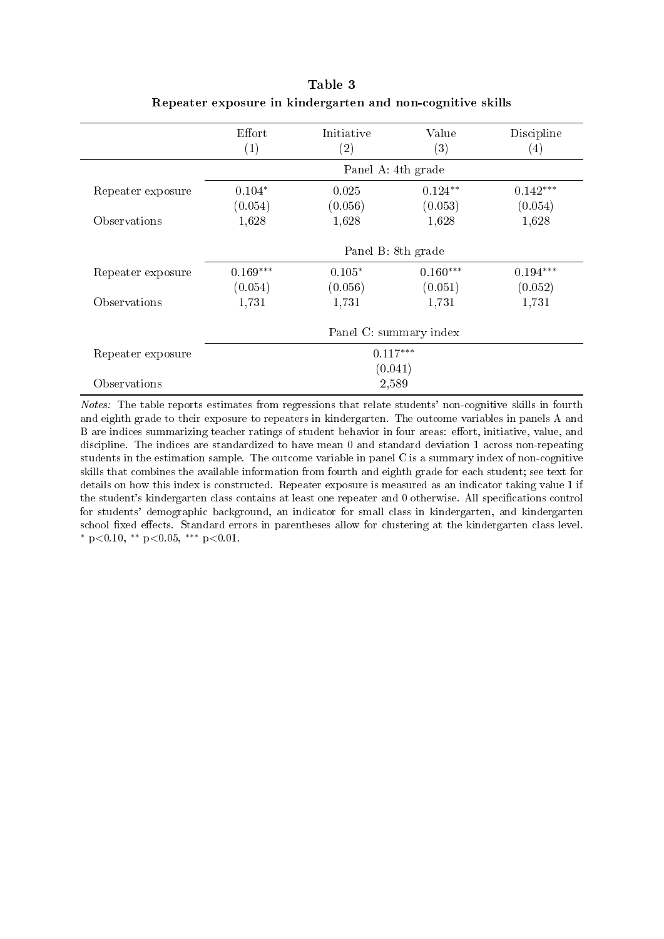|                   | Effort<br>(1) | Initiative<br>$\rm(2)$ | Value<br>(3) | Discipline<br>$\left(4\right)$ |
|-------------------|---------------|------------------------|--------------|--------------------------------|
|                   |               | Panel A: 4th grade     |              |                                |
| Repeater exposure | $0.104*$      | 0.025                  | $0.124**$    | $0.142***$                     |
|                   | (0.054)       | (0.056)                | (0.053)      | (0.054)                        |
| Observations      | 1,628         | 1,628                  | 1,628        | 1,628                          |
|                   |               | Panel B: 8th grade     |              |                                |
| Repeater exposure | $0.169***$    | $0.105*$               | $0.160***$   | $0.194***$                     |
|                   | (0.054)       | (0.056)                | (0.051)      | (0.052)                        |
| Observations      | 1,731         | 1,731                  | 1,731        | 1,731                          |
|                   |               | Panel C: summary index |              |                                |
| Repeater exposure |               | $0.117***$             |              |                                |
|                   |               | (0.041)                |              |                                |
| Observations      |               | 2,589                  |              |                                |

|  | Table 3 |                                                            |  |
|--|---------|------------------------------------------------------------|--|
|  |         | Repeater exposure in kindergarten and non-cognitive skills |  |

Notes: The table reports estimates from regressions that relate students' non-cognitive skills in fourth and eighth grade to their exposure to repeaters in kindergarten. The outcome variables in panels A and B are indices summarizing teacher ratings of student behavior in four areas: effort, initiative, value, and discipline. The indices are standardized to have mean 0 and standard deviation 1 across non-repeating students in the estimation sample. The outcome variable in panel C is a summary index of non-cognitive skills that combines the available information from fourth and eighth grade for each student; see text for details on how this index is constructed. Repeater exposure is measured as an indicator taking value 1 if the student's kindergarten class contains at least one repeater and 0 otherwise. All specifications control for students' demographic background, an indicator for small class in kindergarten, and kindergarten school fixed effects. Standard errors in parentheses allow for clustering at the kindergarten class level. <sup>∗</sup> p<0.10, ∗∗ p<0.05, ∗∗∗ p<0.01.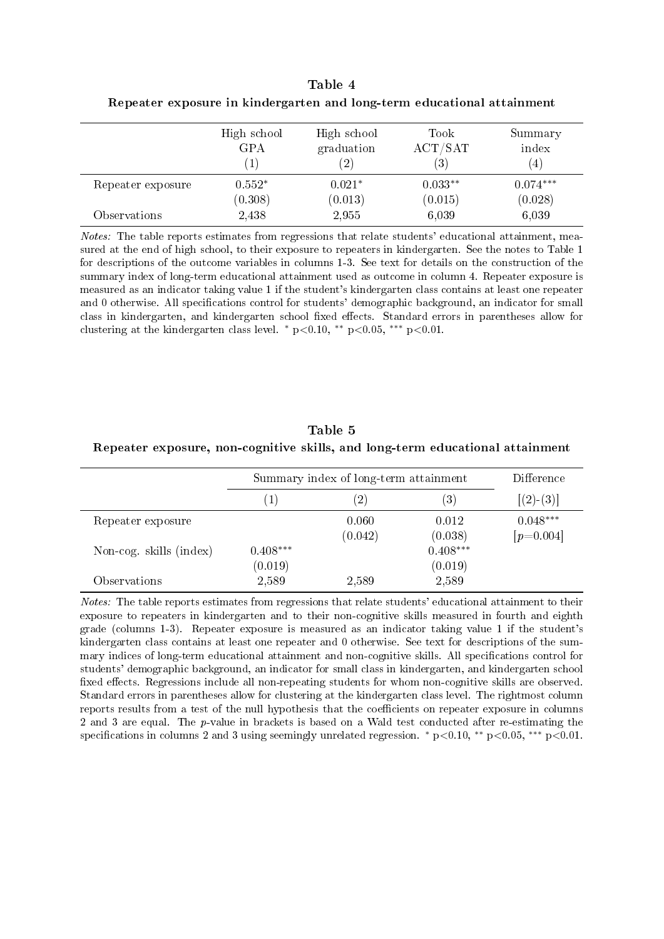|  |                                                                        | Table 4 |  |  |
|--|------------------------------------------------------------------------|---------|--|--|
|  | Repeater exposure in kindergarten and long-term educational attainment |         |  |  |

|                   | High school<br><b>GPA</b> | High school<br>graduation<br>$\mathbf{2}^{\prime}$ | Took<br>ACT/SAT<br>(3) | Summary<br>index<br>(4) |
|-------------------|---------------------------|----------------------------------------------------|------------------------|-------------------------|
| Repeater exposure | $0.552*$<br>(0.308)       | $0.021*$<br>(0.013)                                | $0.033**$<br>(0.015)   | $0.074***$<br>(0.028)   |
| Observations      | 2,438                     | 2,955                                              | 6,039                  | 6,039                   |

Notes: The table reports estimates from regressions that relate students' educational attainment, measured at the end of high school, to their exposure to repeaters in kindergarten. See the notes to Table 1 for descriptions of the outcome variables in columns 1-3. See text for details on the construction of the summary index of long-term educational attainment used as outcome in column 4. Repeater exposure is measured as an indicator taking value 1 if the student's kindergarten class contains at least one repeater and 0 otherwise. All specifications control for students' demographic background, an indicator for small class in kindergarten, and kindergarten school fixed effects. Standard errors in parentheses allow for clustering at the kindergarten class level. \*  $p<0.10$ , \*\*  $p<0.05$ , \*\*\*  $p<0.01$ .

Table 5 Repeater exposure, non-cognitive skills, and long-term educational attainment

|                         |                   | Summary index of long-term attainment |                   | Difference  |
|-------------------------|-------------------|---------------------------------------|-------------------|-------------|
|                         | $\left( 1\right)$ | $ 2\rangle$                           | $\left( 3\right)$ | $[(2)-(3)]$ |
| Repeater exposure       |                   | 0.060                                 | 0.012             | $0.048***$  |
|                         |                   | (0.042)                               | (0.038)           | $[p=0.004]$ |
| Non-cog. skills (index) | $0.408***$        |                                       | $0.408***$        |             |
|                         | (0.019)           |                                       | (0.019)           |             |
| Observations            | 2,589             | 2,589                                 | 2,589             |             |

Notes: The table reports estimates from regressions that relate students' educational attainment to their exposure to repeaters in kindergarten and to their non-cognitive skills measured in fourth and eighth grade (columns 1-3). Repeater exposure is measured as an indicator taking value 1 if the student's kindergarten class contains at least one repeater and 0 otherwise. See text for descriptions of the summary indices of long-term educational attainment and non-cognitive skills. All specifications control for students' demographic background, an indicator for small class in kindergarten, and kindergarten school fixed effects. Regressions include all non-repeating students for whom non-cognitive skills are observed. Standard errors in parentheses allow for clustering at the kindergarten class level. The rightmost column reports results from a test of the null hypothesis that the coefficients on repeater exposure in columns 2 and 3 are equal. The p-value in brackets is based on a Wald test conducted after re-estimating the specifications in columns 2 and 3 using seemingly unrelated regression. \* p<0.10, \*\* p<0.05, \*\*\* p<0.01.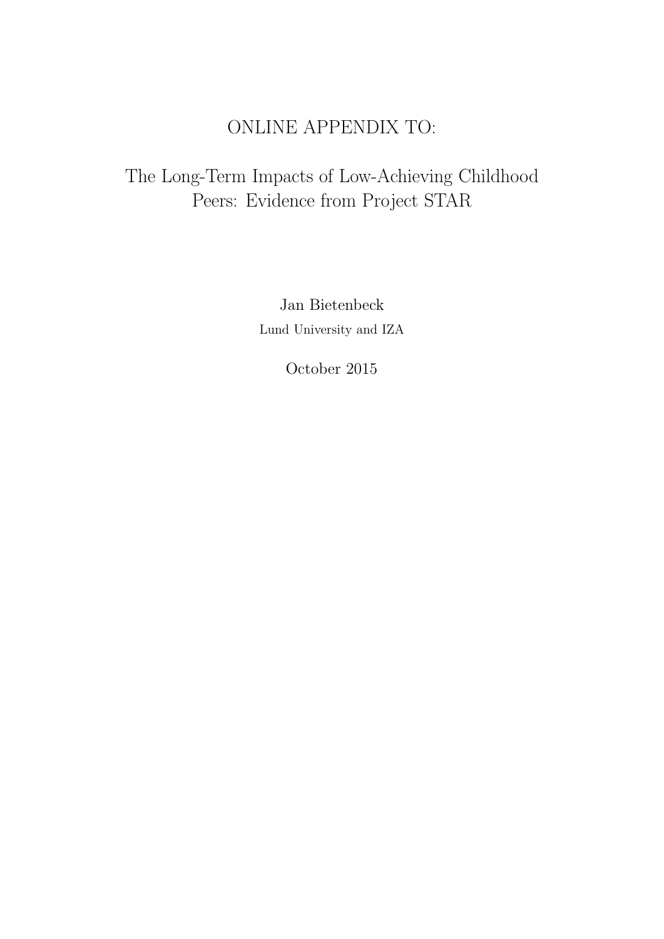# ONLINE APPENDIX TO:

# The Long-Term Impacts of Low-Achieving Childhood Peers: Evidence from Project STAR

Jan Bietenbeck Lund University and IZA

October 2015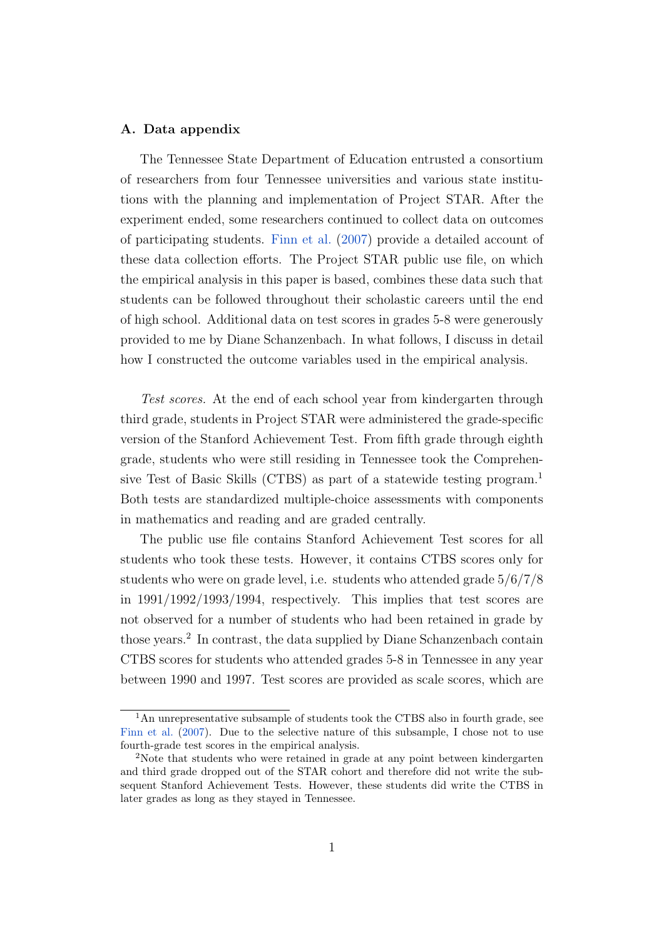#### A. Data appendix

The Tennessee State Department of Education entrusted a consortium of researchers from four Tennessee universities and various state institutions with the planning and implementation of Project STAR. After the experiment ended, some researchers continued to collect data on outcomes of participating students. [Finn et al.](#page-37-0) [\(2007\)](#page-37-0) provide a detailed account of these data collection efforts. The Project STAR public use file, on which the empirical analysis in this paper is based, combines these data such that students can be followed throughout their scholastic careers until the end of high school. Additional data on test scores in grades 5-8 were generously provided to me by Diane Schanzenbach. In what follows, I discuss in detail how I constructed the outcome variables used in the empirical analysis.

Test scores. At the end of each school year from kindergarten through third grade, students in Project STAR were administered the grade-specific version of the Stanford Achievement Test. From fifth grade through eighth grade, students who were still residing in Tennessee took the Comprehensive Test of Basic Skills (CTBS) as part of a statewide testing program.<sup>1</sup> Both tests are standardized multiple-choice assessments with components in mathematics and reading and are graded centrally.

The public use file contains Stanford Achievement Test scores for all students who took these tests. However, it contains CTBS scores only for students who were on grade level, i.e. students who attended grade 5/6/7/8 in 1991/1992/1993/1994, respectively. This implies that test scores are not observed for a number of students who had been retained in grade by those years.<sup>2</sup> In contrast, the data supplied by Diane Schanzenbach contain CTBS scores for students who attended grades 5-8 in Tennessee in any year between 1990 and 1997. Test scores are provided as scale scores, which are

<sup>&</sup>lt;sup>1</sup>An unrepresentative subsample of students took the CTBS also in fourth grade, see [Finn et al.](#page-37-0) [\(2007\)](#page-37-0). Due to the selective nature of this subsample, I chose not to use fourth-grade test scores in the empirical analysis.

<sup>2</sup>Note that students who were retained in grade at any point between kindergarten and third grade dropped out of the STAR cohort and therefore did not write the subsequent Stanford Achievement Tests. However, these students did write the CTBS in later grades as long as they stayed in Tennessee.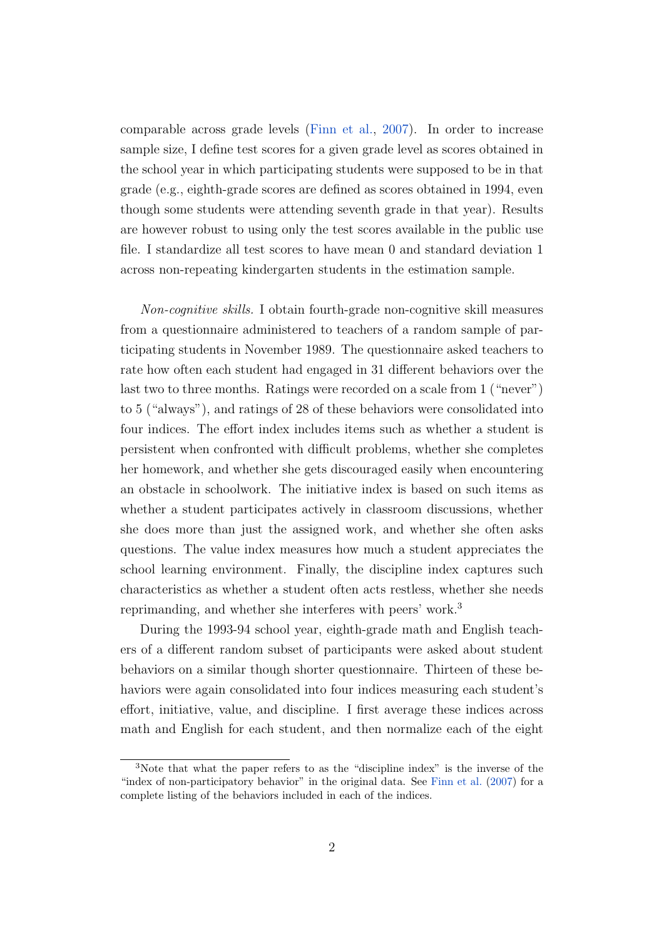comparable across grade levels [\(Finn et al.,](#page-37-0) [2007\)](#page-37-0). In order to increase sample size, I define test scores for a given grade level as scores obtained in the school year in which participating students were supposed to be in that grade (e.g., eighth-grade scores are defined as scores obtained in 1994, even though some students were attending seventh grade in that year). Results are however robust to using only the test scores available in the public use file. I standardize all test scores to have mean 0 and standard deviation 1 across non-repeating kindergarten students in the estimation sample.

Non-cognitive skills. I obtain fourth-grade non-cognitive skill measures from a questionnaire administered to teachers of a random sample of participating students in November 1989. The questionnaire asked teachers to rate how often each student had engaged in 31 different behaviors over the last two to three months. Ratings were recorded on a scale from 1 ("never") to 5 ("always"), and ratings of 28 of these behaviors were consolidated into four indices. The effort index includes items such as whether a student is persistent when confronted with difficult problems, whether she completes her homework, and whether she gets discouraged easily when encountering an obstacle in schoolwork. The initiative index is based on such items as whether a student participates actively in classroom discussions, whether she does more than just the assigned work, and whether she often asks questions. The value index measures how much a student appreciates the school learning environment. Finally, the discipline index captures such characteristics as whether a student often acts restless, whether she needs reprimanding, and whether she interferes with peers' work.<sup>3</sup>

During the 1993-94 school year, eighth-grade math and English teachers of a different random subset of participants were asked about student behaviors on a similar though shorter questionnaire. Thirteen of these behaviors were again consolidated into four indices measuring each student's effort, initiative, value, and discipline. I first average these indices across math and English for each student, and then normalize each of the eight

<sup>3</sup>Note that what the paper refers to as the "discipline index" is the inverse of the "index of non-participatory behavior" in the original data. See [Finn et al.](#page-37-0) [\(2007\)](#page-37-0) for a complete listing of the behaviors included in each of the indices.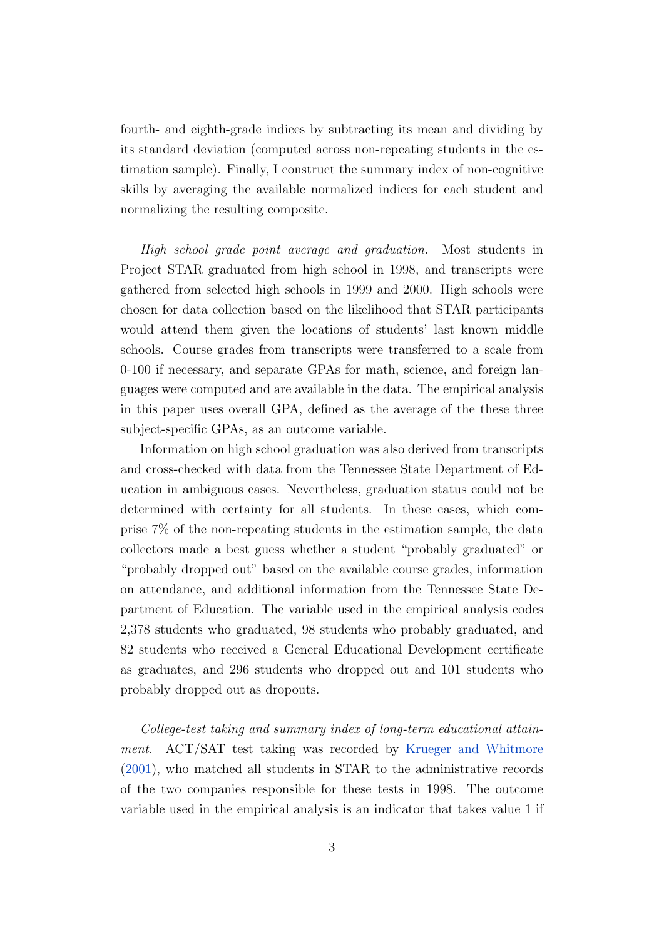fourth- and eighth-grade indices by subtracting its mean and dividing by its standard deviation (computed across non-repeating students in the estimation sample). Finally, I construct the summary index of non-cognitive skills by averaging the available normalized indices for each student and normalizing the resulting composite.

High school grade point average and graduation. Most students in Project STAR graduated from high school in 1998, and transcripts were gathered from selected high schools in 1999 and 2000. High schools were chosen for data collection based on the likelihood that STAR participants would attend them given the locations of students' last known middle schools. Course grades from transcripts were transferred to a scale from 0-100 if necessary, and separate GPAs for math, science, and foreign languages were computed and are available in the data. The empirical analysis in this paper uses overall GPA, defined as the average of the these three subject-specific GPAs, as an outcome variable.

Information on high school graduation was also derived from transcripts and cross-checked with data from the Tennessee State Department of Education in ambiguous cases. Nevertheless, graduation status could not be determined with certainty for all students. In these cases, which comprise 7% of the non-repeating students in the estimation sample, the data collectors made a best guess whether a student "probably graduated" or "probably dropped out" based on the available course grades, information on attendance, and additional information from the Tennessee State Department of Education. The variable used in the empirical analysis codes 2,378 students who graduated, 98 students who probably graduated, and 82 students who received a General Educational Development certificate as graduates, and 296 students who dropped out and 101 students who probably dropped out as dropouts.

College-test taking and summary index of long-term educational attainment. ACT/SAT test taking was recorded by [Krueger and Whitmore](#page-37-1) [\(2001\)](#page-37-1), who matched all students in STAR to the administrative records of the two companies responsible for these tests in 1998. The outcome variable used in the empirical analysis is an indicator that takes value 1 if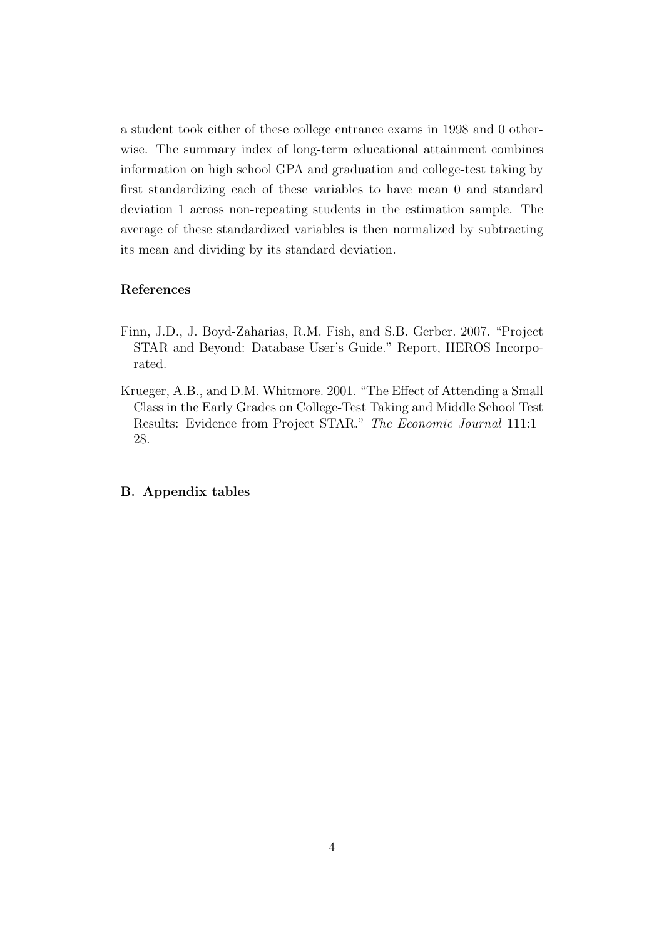a student took either of these college entrance exams in 1998 and 0 otherwise. The summary index of long-term educational attainment combines information on high school GPA and graduation and college-test taking by first standardizing each of these variables to have mean 0 and standard deviation 1 across non-repeating students in the estimation sample. The average of these standardized variables is then normalized by subtracting its mean and dividing by its standard deviation.

#### References

- <span id="page-37-0"></span>Finn, J.D., J. Boyd-Zaharias, R.M. Fish, and S.B. Gerber. 2007. "Project STAR and Beyond: Database User's Guide." Report, HEROS Incorporated.
- <span id="page-37-1"></span>Krueger, A.B., and D.M. Whitmore. 2001. "The Effect of Attending a Small Class in the Early Grades on College-Test Taking and Middle School Test Results: Evidence from Project STAR." The Economic Journal 111:1– 28.

#### B. Appendix tables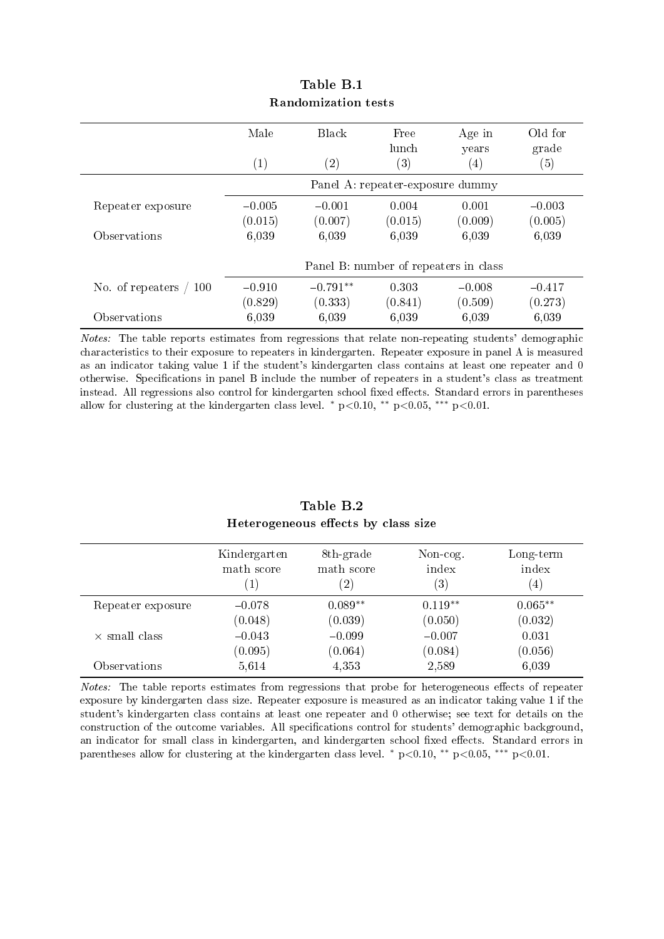|                         | Male     | <b>Black</b>      | Free                                  | Age in            | Old for           |
|-------------------------|----------|-------------------|---------------------------------------|-------------------|-------------------|
|                         |          |                   | lunch                                 | years             | grade             |
|                         | (1)      | $\left( 2\right)$ | $\left( 3\right)$                     | $\left( 4\right)$ | $\left( 5\right)$ |
|                         |          |                   | Panel A: repeater-exposure dummy      |                   |                   |
| Repeater exposure       | $-0.005$ | $-0.001$          | 0.004                                 | 0.001             | $-0.003$          |
|                         | (0.015)  | (0.007)           | (0.015)                               | (0.009)           | (0.005)           |
| Observations            | 6,039    | 6,039             | 6,039                                 | 6,039             | 6,039             |
|                         |          |                   |                                       |                   |                   |
|                         |          |                   | Panel B: number of repeaters in class |                   |                   |
| No. of repeaters<br>100 | $-0.910$ | $-0.791**$        | 0.303                                 | $-0.008$          | $-0.417$          |
|                         | (0.829)  | (0.333)           | (0.841)                               | (0.509)           | (0.273)           |
| Observations            | 6,039    | 6,039             | 6,039                                 | 6,039             | 6,039             |

#### Table B.1 Randomization tests

Notes: The table reports estimates from regressions that relate non-repeating students' demographic characteristics to their exposure to repeaters in kindergarten. Repeater exposure in panel A is measured as an indicator taking value 1 if the student's kindergarten class contains at least one repeater and 0 otherwise. Specifications in panel B include the number of repeaters in a student's class as treatment instead. All regressions also control for kindergarten school fixed effects. Standard errors in parentheses allow for clustering at the kindergarten class level. \*  $p<0.10$ , \*\*  $p<0.05$ , \*\*\*  $p<0.01$ .

|                      | Kindergarten<br>math score | 8th-grade<br>math score<br>$\left( 2\right)$ | Non-cog.<br>index<br>$\left( 3\right)$ | $Long-term$<br>index<br>$\left( 4\right)$ |
|----------------------|----------------------------|----------------------------------------------|----------------------------------------|-------------------------------------------|
| Repeater exposure    | $-0.078$                   | $0.089**$                                    | $0.119**$                              | $0.065**$                                 |
|                      | (0.048)                    | (0.039)                                      | (0.050)                                | (0.032)                                   |
| $\times$ small class | $-0.043$                   | $-0.099$                                     | $-0.007$                               | 0.031                                     |
|                      | (0.095)                    | (0.064)                                      | (0.084)                                | (0.056)                                   |
| Observations         | 5,614                      | 4,353                                        | 2,589                                  | 6,039                                     |

#### Table B.2 Heterogeneous effects by class size

Notes: The table reports estimates from regressions that probe for heterogeneous effects of repeater exposure by kindergarten class size. Repeater exposure is measured as an indicator taking value 1 if the student's kindergarten class contains at least one repeater and 0 otherwise; see text for details on the construction of the outcome variables. All specifications control for students' demographic background, an indicator for small class in kindergarten, and kindergarten school fixed effects. Standard errors in parentheses allow for clustering at the kindergarten class level.  $* p \lt 0.10$ ,  $** p \lt 0.05$ ,  $** p \lt 0.01$ .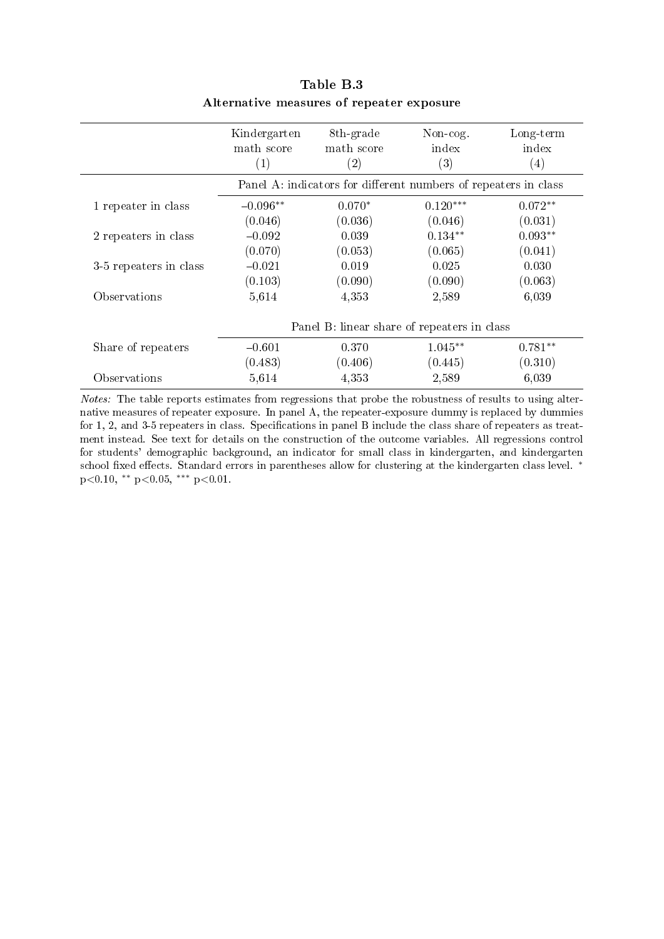|                        | Kindergarten<br>math score<br>$\left( 1\right)$ | 8th-grade<br>math score<br>$\left( 2\right)$                    | Non-cog.<br>index<br>(3) | Long-term<br>index<br>$\left( 4\right)$ |
|------------------------|-------------------------------------------------|-----------------------------------------------------------------|--------------------------|-----------------------------------------|
|                        |                                                 | Panel A: indicators for different numbers of repeaters in class |                          |                                         |
| 1 repeater in class    | $-0.096**$                                      | $0.070*$                                                        | $0.120***$               | $0.072**$                               |
|                        | (0.046)                                         | (0.036)                                                         | (0.046)                  | (0.031)                                 |
| 2 repeaters in class   | $-0.092$                                        | 0.039                                                           | $0.134**$                | $0.093**$                               |
|                        | (0.070)                                         | (0.053)                                                         | (0.065)                  | (0.041)                                 |
| 3-5 repeaters in class | $-0.021$                                        | 0.019                                                           | 0.025                    | 0.030                                   |
|                        | (0.103)                                         | (0.090)                                                         | (0.090)                  | (0.063)                                 |
| Observations           | 5,614                                           | 4,353                                                           | 2,589                    | 6,039                                   |
|                        |                                                 | Panel B: linear share of repeaters in class                     |                          |                                         |
| Share of repeaters     | $-0.601$                                        | 0.370                                                           | $1.045**$                | $0.781**$                               |
|                        | (0.483)                                         | (0.406)                                                         | (0.445)                  | (0.310)                                 |
| Observations           | 5,614                                           | 4,353                                                           | 2,589                    | 6,039                                   |

### Table B.3 Alternative measures of repeater exposure

Notes: The table reports estimates from regressions that probe the robustness of results to using alternative measures of repeater exposure. In panel A, the repeater-exposure dummy is replaced by dummies for 1, 2, and 3-5 repeaters in class. Specifications in panel B include the class share of repeaters as treatment instead. See text for details on the construction of the outcome variables. All regressions control for students' demographic background, an indicator for small class in kindergarten, and kindergarten school fixed effects. Standard errors in parentheses allow for clustering at the kindergarten class level. <sup>∗</sup> p<0.10, ∗∗ p<0.05, ∗∗∗ p<0.01.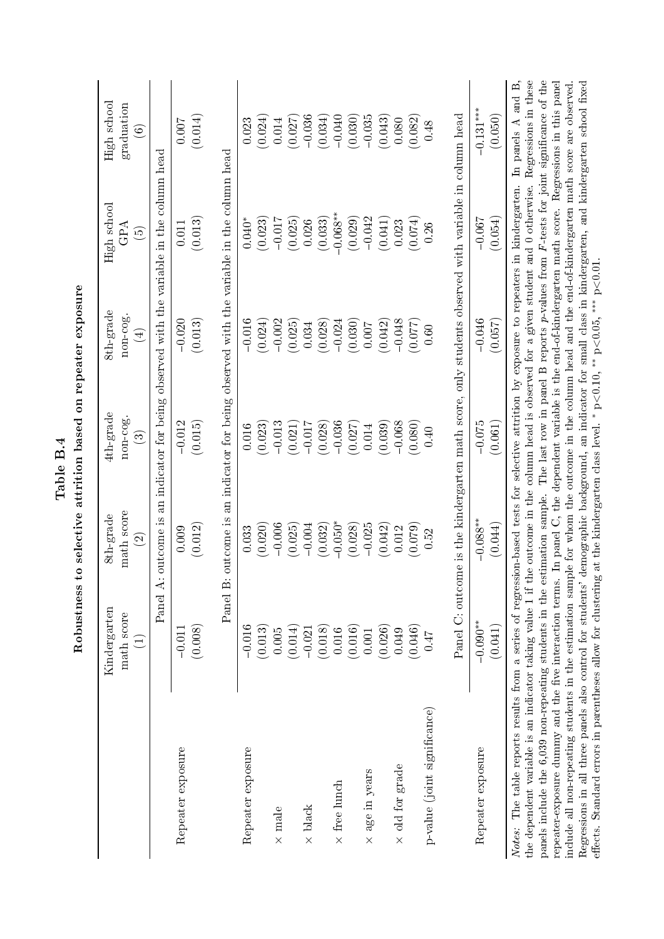|                                                                                                                                                                                                                                                                                                                                                                                                                                                                                                                                                                                                                                                                                                                                                                                                                                                                                                                    |                                               |                                              | Table B.4                 |                                                   |                                                                                                                                                                                                             |                                                |
|--------------------------------------------------------------------------------------------------------------------------------------------------------------------------------------------------------------------------------------------------------------------------------------------------------------------------------------------------------------------------------------------------------------------------------------------------------------------------------------------------------------------------------------------------------------------------------------------------------------------------------------------------------------------------------------------------------------------------------------------------------------------------------------------------------------------------------------------------------------------------------------------------------------------|-----------------------------------------------|----------------------------------------------|---------------------------|---------------------------------------------------|-------------------------------------------------------------------------------------------------------------------------------------------------------------------------------------------------------------|------------------------------------------------|
|                                                                                                                                                                                                                                                                                                                                                                                                                                                                                                                                                                                                                                                                                                                                                                                                                                                                                                                    | Robustness                                    |                                              |                           | to selective attrition based on repeater exposure |                                                                                                                                                                                                             |                                                |
|                                                                                                                                                                                                                                                                                                                                                                                                                                                                                                                                                                                                                                                                                                                                                                                                                                                                                                                    | Kindergarten<br>math score<br>$\widehat{\Xi}$ | math score<br>8th-grade<br>$\widehat{\odot}$ | 4th-grade<br>non-cog<br>ව | 8th-grade<br>non-cog.<br>$\bigoplus$              | High school<br>GPA<br>$\widehat{\Theta}$                                                                                                                                                                    | High school<br>graduation<br>$\widehat{\circ}$ |
|                                                                                                                                                                                                                                                                                                                                                                                                                                                                                                                                                                                                                                                                                                                                                                                                                                                                                                                    | Panel A                                       |                                              |                           |                                                   | controome is an indicator for being observed with the variable in the column head                                                                                                                           |                                                |
| Repeater exposure                                                                                                                                                                                                                                                                                                                                                                                                                                                                                                                                                                                                                                                                                                                                                                                                                                                                                                  | (0.008)<br>$-0.011$                           | (0.012)<br>0.009                             | (0.015)<br>$-0.012$       | (0.013)<br>$-0.020$                               | (0.013)<br>0.011                                                                                                                                                                                            | (0.014)<br>$0.007$                             |
|                                                                                                                                                                                                                                                                                                                                                                                                                                                                                                                                                                                                                                                                                                                                                                                                                                                                                                                    |                                               |                                              |                           |                                                   | Panel B: outcome is an indicator for being observed with the variable in the column head                                                                                                                    |                                                |
| Repeater exposure                                                                                                                                                                                                                                                                                                                                                                                                                                                                                                                                                                                                                                                                                                                                                                                                                                                                                                  | $-0.016$                                      | 0.033                                        | 0.016                     | $-0.016$                                          | $0.040*$                                                                                                                                                                                                    | 0.023                                          |
|                                                                                                                                                                                                                                                                                                                                                                                                                                                                                                                                                                                                                                                                                                                                                                                                                                                                                                                    | (0.013)                                       | (0.020)                                      | (0.023)                   | (0.024)                                           | (0.023)                                                                                                                                                                                                     | (0.024)                                        |
| $\times$ male                                                                                                                                                                                                                                                                                                                                                                                                                                                                                                                                                                                                                                                                                                                                                                                                                                                                                                      | 0.005                                         | $-0.006$                                     | $-0.013$                  | $-0.002$                                          | $-0.017$                                                                                                                                                                                                    | 0.014                                          |
| $\times$ black                                                                                                                                                                                                                                                                                                                                                                                                                                                                                                                                                                                                                                                                                                                                                                                                                                                                                                     | (0.014)<br>$-0.021$                           | $-0.004$<br>(0.025)                          | (0.021)<br>$-0.017$       | (0.025)<br>0.034                                  | (0.025)<br>0.026                                                                                                                                                                                            | $-0.036$<br>(0.027)                            |
|                                                                                                                                                                                                                                                                                                                                                                                                                                                                                                                                                                                                                                                                                                                                                                                                                                                                                                                    | (0.018)                                       | (0.032)                                      | (0.028)                   | (0.028)                                           | (0.033)                                                                                                                                                                                                     | (0.034)                                        |
| $\times$ free lunch                                                                                                                                                                                                                                                                                                                                                                                                                                                                                                                                                                                                                                                                                                                                                                                                                                                                                                | 0.016                                         | $-0.050*$                                    | $-0.036$                  | $-0.024$                                          | $-0.068**$                                                                                                                                                                                                  | $-0.040$                                       |
|                                                                                                                                                                                                                                                                                                                                                                                                                                                                                                                                                                                                                                                                                                                                                                                                                                                                                                                    | (0.016)                                       | (0.028)                                      | (0.027)                   | (0.030)                                           | (0.029)                                                                                                                                                                                                     | (0.030)                                        |
| $\times$ age in years                                                                                                                                                                                                                                                                                                                                                                                                                                                                                                                                                                                                                                                                                                                                                                                                                                                                                              | 0.001                                         | $-0.025$                                     | 0.014                     | 0.007                                             | $-0.042$                                                                                                                                                                                                    | $-0.035$                                       |
|                                                                                                                                                                                                                                                                                                                                                                                                                                                                                                                                                                                                                                                                                                                                                                                                                                                                                                                    | (0.026)                                       | (0.042)                                      | (0.039)                   | (0.042)                                           | (0.041)                                                                                                                                                                                                     | (0.043)                                        |
| $\times$ old for grade                                                                                                                                                                                                                                                                                                                                                                                                                                                                                                                                                                                                                                                                                                                                                                                                                                                                                             | 0.049                                         | 0.012                                        | $-0.068$                  | $-0.048$                                          | 0.023                                                                                                                                                                                                       | 0.080                                          |
|                                                                                                                                                                                                                                                                                                                                                                                                                                                                                                                                                                                                                                                                                                                                                                                                                                                                                                                    | (0.046)                                       | (0.079)                                      | (0.080)                   | (0.077)                                           | (0.074)                                                                                                                                                                                                     | (0.082)                                        |
| p-value (joint significance)                                                                                                                                                                                                                                                                                                                                                                                                                                                                                                                                                                                                                                                                                                                                                                                                                                                                                       | 71.0                                          | 0.52                                         | 0.40                      | 0.60                                              | 0.26                                                                                                                                                                                                        | 0.48                                           |
|                                                                                                                                                                                                                                                                                                                                                                                                                                                                                                                                                                                                                                                                                                                                                                                                                                                                                                                    |                                               |                                              |                           |                                                   | Panel C: outcome is the kindergarten math score, only students observed with variable in column head                                                                                                        |                                                |
| Repeater exposure                                                                                                                                                                                                                                                                                                                                                                                                                                                                                                                                                                                                                                                                                                                                                                                                                                                                                                  | $-0.090**$                                    | $-0.088$ **                                  | $-0.075$                  | $-0.046$                                          | $-0.067$                                                                                                                                                                                                    | $-0.131***$                                    |
|                                                                                                                                                                                                                                                                                                                                                                                                                                                                                                                                                                                                                                                                                                                                                                                                                                                                                                                    | (0.041)                                       | (0.044)                                      | (0.061)                   | (0.057)                                           | (0.054)                                                                                                                                                                                                     | (0.050)                                        |
| panels include the 6,039 non-repeating students in the estimation sample. The last row in panel B reports p-values from $F$ -tests for joint significance of the<br>repeater-exposure dummy and the five interaction terms. In panel C, the dependent variable is the end-of-kindergarten math score. Regressions in this panel<br>include all non-repeating students in the estimation sample for whom the outcome in the column head and the end-of-kindergarten math score are observed.<br>The table reports results from a series of regression-based tests for selective attrition by exposure to repeaters in kindergarten.<br>effects. Standard errors in parentheses allow for clustering at the kindergarten class level. * $p<0.10$ , ** $p<0.05$ , ** $p<0.01$ .<br>Regressions in all three panels also control for students'<br>the dependent variable is an indicator taking value 1 if t<br>Notes: |                                               |                                              |                           |                                                   | the outcome in the column head is observed for a given student and 0 otherwise. Regressions in these<br>demographic background, an indicator for small class in kindergarten, and kindergarten school fixed | In panels $A$ and $B$ .                        |